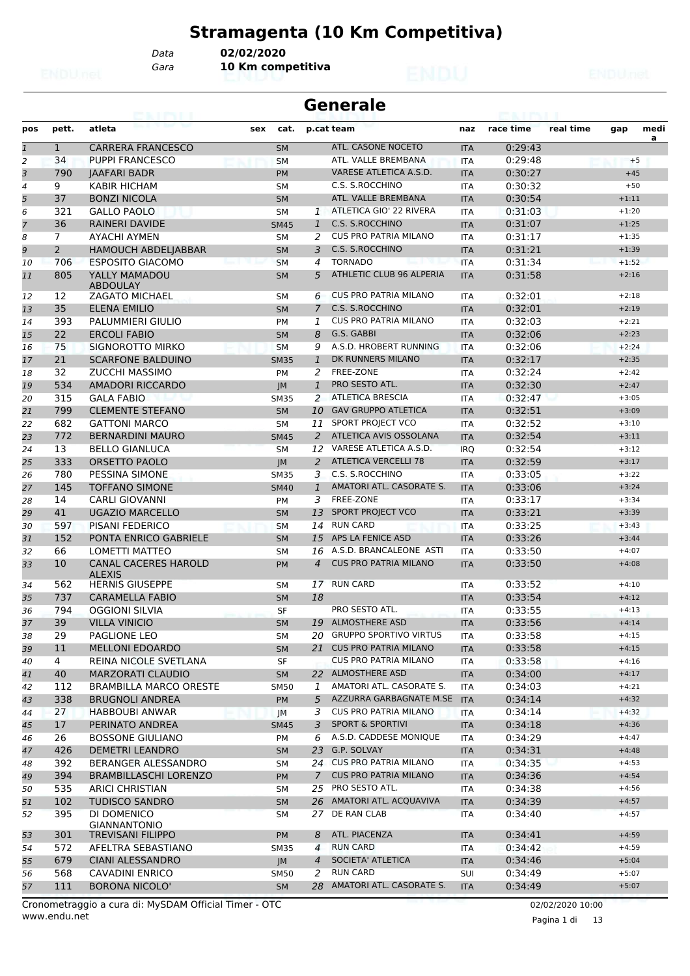# **Stramagenta (10 Km Competitiva)**

*Data* **02/02/2020**

*Gara* **10 Km competitiva**

|                | <b>Generale</b> |                                              |     |             |                |                               |            |           |           |         |           |
|----------------|-----------------|----------------------------------------------|-----|-------------|----------------|-------------------------------|------------|-----------|-----------|---------|-----------|
| pos            | pett.           | atleta                                       | sex | cat.        |                | p.cat team                    | naz        | race time | real time | gap     | medi<br>a |
| $\mathbf{1}$   | $\mathbf{1}$    | <b>CARRERA FRANCESCO</b>                     |     | <b>SM</b>   |                | ATL. CASONE NOCETO            | <b>ITA</b> | 0:29:43   |           |         |           |
| 2              | 34              | <b>PUPPI FRANCESCO</b>                       |     | <b>SM</b>   |                | ATL. VALLE BREMBANA           | <b>ITA</b> | 0:29:48   |           |         | $+5$      |
| 3              | 790             | <b>JAAFARI BADR</b>                          |     | <b>PM</b>   |                | VARESE ATLETICA A.S.D.        | <b>ITA</b> | 0:30:27   |           | $+45$   |           |
| 4              | 9               | <b>KABIR HICHAM</b>                          |     | SΜ          |                | C.S. S.ROCCHINO               | <b>ITA</b> | 0:30:32   |           | $+50$   |           |
| 5              | 37              | <b>BONZI NICOLA</b>                          |     | <b>SM</b>   |                | ATL. VALLE BREMBANA           | <b>ITA</b> | 0:30:54   |           | $+1:11$ |           |
| 6              | 321             | <b>GALLO PAOLO</b>                           |     | <b>SM</b>   |                | 1 ATLETICA GIO' 22 RIVERA     | <b>ITA</b> | 0:31:03   |           | $+1:20$ |           |
| $\overline{7}$ | 36              | <b>RAINERI DAVIDE</b>                        |     | <b>SM45</b> | $\mathbf{1}$   | C.S. S.ROCCHINO               | <b>ITA</b> | 0:31:07   |           | $+1:25$ |           |
| 8              | $\overline{7}$  | AYACHI AYMEN                                 |     | <b>SM</b>   | 2              | <b>CUS PRO PATRIA MILANO</b>  | <b>ITA</b> | 0:31:17   |           | $+1:35$ |           |
| 9              | $\overline{2}$  | <b>HAMOUCH ABDELIABBAR</b>                   |     | <b>SM</b>   | 3              | C.S. S.ROCCHINO               | <b>ITA</b> | 0:31:21   |           | $+1:39$ |           |
| 10             | 706             | <b>ESPOSITO GIACOMO</b>                      |     | <b>SM</b>   | 4              | <b>TORNADO</b>                | <b>ITA</b> | 0:31:34   |           | $+1:52$ |           |
| 11             | 805             | YALLY MAMADOU<br><b>ABDOULAY</b>             |     | <b>SM</b>   | 5              | ATHLETIC CLUB 96 ALPERIA      | <b>ITA</b> | 0:31:58   |           | $+2:16$ |           |
| 12             | 12              | <b>ZAGATO MICHAEL</b>                        |     | <b>SM</b>   | 6              | <b>CUS PRO PATRIA MILANO</b>  | <b>ITA</b> | 0:32:01   |           | $+2:18$ |           |
| 13             | 35              | <b>ELENA EMILIO</b>                          |     | <b>SM</b>   | $\overline{7}$ | C.S. S.ROCCHINO               | <b>ITA</b> | 0:32:01   |           | $+2:19$ |           |
| 14             | 393             | PALUMMIERI GIULIO                            |     | <b>PM</b>   | 1              | <b>CUS PRO PATRIA MILANO</b>  | <b>ITA</b> | 0:32:03   |           | $+2:21$ |           |
| 15             | 22              | <b>ERCOLI FABIO</b>                          |     | <b>SM</b>   | 8              | G.S. GABBI                    | <b>ITA</b> | 0:32:06   |           | $+2:23$ |           |
| 16             | 75              | SIGNOROTTO MIRKO                             |     | <b>SM</b>   | 9              | A.S.D. HROBERT RUNNING        | <b>ITA</b> | 0:32:06   |           | $+2:24$ |           |
| 17             | 21              | <b>SCARFONE BALDUINO</b>                     |     | <b>SM35</b> | $\mathbf{1}$   | DK RUNNERS MILANO             | <b>ITA</b> | 0:32:17   |           | $+2:35$ |           |
| 18             | 32              | <b>ZUCCHI MASSIMO</b>                        |     | PM          | 2              | FREE-ZONE                     | <b>ITA</b> | 0:32:24   |           | $+2:42$ |           |
| 19             | 534             | AMADORI RICCARDO                             |     | IM          | $\mathbf{1}$   | PRO SESTO ATL.                | <b>ITA</b> | 0:32:30   |           | $+2:47$ |           |
| 20             | 315             | <b>GALA FABIO</b>                            |     | <b>SM35</b> | 2              | <b>ATLETICA BRESCIA</b>       | <b>ITA</b> | 0:32:47   |           | $+3:05$ |           |
| 21             | 799             | <b>CLEMENTE STEFANO</b>                      |     | <b>SM</b>   | 10             | <b>GAV GRUPPO ATLETICA</b>    | <b>ITA</b> | 0:32:51   |           | $+3:09$ |           |
| 22             | 682             | <b>GATTONI MARCO</b>                         |     | <b>SM</b>   | 11             | SPORT PROJECT VCO             | <b>ITA</b> | 0:32:52   |           | $+3:10$ |           |
| 23             | 772             | <b>BERNARDINI MAURO</b>                      |     | <b>SM45</b> | $\overline{2}$ | ATLETICA AVIS OSSOLANA        | <b>ITA</b> | 0:32:54   |           | $+3:11$ |           |
| 24             | 13              | <b>BELLO GIANLUCA</b>                        |     | <b>SM</b>   | 12             | VARESE ATLETICA A.S.D.        | <b>IRQ</b> | 0:32:54   |           | $+3:12$ |           |
| 25             | 333             | <b>ORSETTO PAOLO</b>                         |     | <b>JM</b>   | 2              | <b>ATLETICA VERCELLI 78</b>   | <b>ITA</b> | 0:32:59   |           | $+3:17$ |           |
| 26             | 780             | PESSINA SIMONE                               |     | <b>SM35</b> | 3              | C.S. S.ROCCHINO               | <b>ITA</b> | 0:33:05   |           | $+3:22$ |           |
| 27             | 145             | <b>TOFFANO SIMONE</b>                        |     | <b>SM40</b> | 1              | AMATORI ATL. CASORATE S.      | <b>ITA</b> | 0:33:06   |           | $+3:24$ |           |
| 28             | 14              | <b>CARLI GIOVANNI</b>                        |     | <b>PM</b>   | 3              | FREE-ZONE                     | <b>ITA</b> | 0:33:17   |           | $+3:34$ |           |
| 29             | 41              | <b>UGAZIO MARCELLO</b>                       |     | <b>SM</b>   | 13             | <b>SPORT PROJECT VCO</b>      | <b>ITA</b> | 0:33:21   |           | $+3:39$ |           |
| 30             | 597             | <b>PISANI FEDERICO</b>                       |     | <b>SM</b>   | 14             | <b>RUN CARD</b>               | <b>ITA</b> | 0:33:25   |           | $+3:43$ |           |
| 31             | 152             | PONTA ENRICO GABRIELE                        |     | <b>SM</b>   | 15             | APS LA FENICE ASD             | <b>ITA</b> | 0:33:26   |           | $+3:44$ |           |
| 32             | 66              | LOMETTI MATTEO                               |     | SМ          | 16             | A.S.D. BRANCALEONE ASTI       | <b>ITA</b> | 0:33:50   |           | $+4:07$ |           |
| 33             | 10              | <b>CANAL CACERES HAROLD</b><br><b>ALEXIS</b> |     | <b>PM</b>   | $\overline{4}$ | <b>CUS PRO PATRIA MILANO</b>  | <b>ITA</b> | 0:33:50   |           | $+4:08$ |           |
| 34             | 562             | <b>HERNIS GIUSEPPE</b>                       |     | <b>SM</b>   | 17             | <b>RUN CARD</b>               | <b>ITA</b> | 0:33:52   |           | $+4:10$ |           |
| 35             | 737             | <b>CARAMELLA FABIO</b>                       |     | <b>SM</b>   | 18             |                               | <b>ITA</b> | 0:33:54   |           | $+4:12$ |           |
| 36             | 794             | <b>OGGIONI SILVIA</b>                        |     | <b>SF</b>   |                | <b>PRO SESTO ATL.</b>         | <b>ITA</b> | 0:33:55   |           | $+4:13$ |           |
| 37             | 39              | <b>VILLA VINICIO</b>                         |     | <b>SM</b>   |                | 19 ALMOSTHERE ASD             | <b>ITA</b> | 0:33:56   |           | $+4:14$ |           |
| 38             | 29              | PAGLIONE LEO                                 |     | SM          | 20             | <b>GRUPPO SPORTIVO VIRTUS</b> | ITA        | 0:33:58   |           | $+4:15$ |           |
| 39             | 11              | <b>MELLONI EDOARDO</b>                       |     | <b>SM</b>   | 21             | <b>CUS PRO PATRIA MILANO</b>  | <b>ITA</b> | 0:33:58   |           | $+4:15$ |           |
| 40             | $\overline{4}$  | REINA NICOLE SVETLANA                        |     | SF          |                | CUS PRO PATRIA MILANO         | ITA        | 0:33:58   |           | $+4:16$ |           |
| 41             | 40              | <b>MARZORATI CLAUDIO</b>                     |     | <b>SM</b>   |                | 22 ALMOSTHERE ASD             | <b>ITA</b> | 0:34:00   |           | $+4:17$ |           |
| 42             | 112             | <b>BRAMBILLA MARCO ORESTE</b>                |     | <b>SM50</b> | 1              | AMATORI ATL. CASORATE S.      | ITA        | 0:34:03   |           | $+4:21$ |           |
| 43             | 338             | <b>BRUGNOLI ANDREA</b>                       |     | <b>PM</b>   | 5              | AZZURRA GARBAGNATE M.SE       | <b>ITA</b> | 0:34:14   |           | $+4:32$ |           |
| 44             | 27              | <b>HABBOUBI ANWAR</b>                        |     | JM          | 3              | <b>CUS PRO PATRIA MILANO</b>  | ITA        | 0:34:14   |           | $+4:32$ |           |
| 45             | 17              | PERINATO ANDREA                              |     | <b>SM45</b> | 3              | <b>SPORT &amp; SPORTIVI</b>   | <b>ITA</b> | 0:34:18   |           | $+4:36$ |           |
| 46             | 26              | <b>BOSSONE GIULIANO</b>                      |     | PM          | 6              | A.S.D. CADDESE MONIQUE        | ITA        | 0:34:29   |           | $+4:47$ |           |
| 47             | 426             | <b>DEMETRI LEANDRO</b>                       |     | <b>SM</b>   | 23             | G.P. SOLVAY                   | <b>ITA</b> | 0:34:31   |           | $+4:48$ |           |
| 48             | 392             | BERANGER ALESSANDRO                          |     | SM          |                | 24 CUS PRO PATRIA MILANO      | ITA        | 0:34:35   |           | $+4:53$ |           |
| 49             | 394             | <b>BRAMBILLASCHI LORENZO</b>                 |     | <b>PM</b>   | $7^{\circ}$    | <b>CUS PRO PATRIA MILANO</b>  | <b>ITA</b> | 0:34:36   |           | $+4:54$ |           |
| 50             | 535             | <b>ARICI CHRISTIAN</b>                       |     | SМ          | 25             | PRO SESTO ATL.                | ITA        | 0:34:38   |           | $+4:56$ |           |
| 51             | 102             | <b>TUDISCO SANDRO</b>                        |     | <b>SM</b>   | 26             | AMATORI ATL. ACQUAVIVA        | <b>ITA</b> | 0:34:39   |           | $+4:57$ |           |
| 52             | 395             | DI DOMENICO<br><b>GIANNANTONIO</b>           |     | SM          | 27             | DE RAN CLAB                   | <b>ITA</b> | 0:34:40   |           | $+4:57$ |           |
| 53             | 301             | <b>TREVISANI FILIPPO</b>                     |     | <b>PM</b>   | 8              | ATL. PIACENZA                 | <b>ITA</b> | 0:34:41   |           | $+4:59$ |           |
| 54             | 572             | AFELTRA SEBASTIANO                           |     | <b>SM35</b> | 4              | <b>RUN CARD</b>               | ITA        | 0:34:42   |           | $+4:59$ |           |
| 55             | 679             | <b>CIANI ALESSANDRO</b>                      |     | JM          | 4              | SOCIETA' ATLETICA             | <b>ITA</b> | 0:34:46   |           | $+5:04$ |           |
| 56             | 568             | <b>CAVADINI ENRICO</b>                       |     | <b>SM50</b> | 2              | <b>RUN CARD</b>               | SUI        | 0:34:49   |           | $+5:07$ |           |
| 57             | 111             | <b>BORONA NICOLO'</b>                        |     | SM          | 28             | AMATORI ATL. CASORATE S.      | <b>ITA</b> | 0:34:49   |           | $+5:07$ |           |

www.endu.net Cronometraggio a cura di: MySDAM Official Timer - OTC 02/02/2020 10:00

Pagina 1 di 13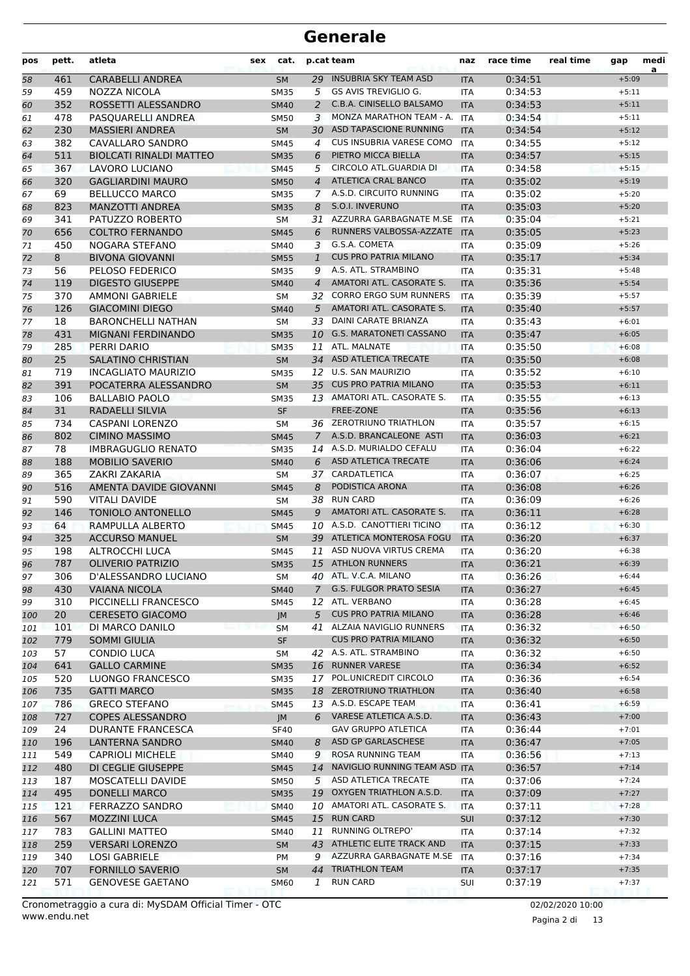| pos      | pett.      | atleta                                          | sex | cat.                       |                | p.cat team                                              | naz                      | race time          | real time | gap                | medi<br>a |
|----------|------------|-------------------------------------------------|-----|----------------------------|----------------|---------------------------------------------------------|--------------------------|--------------------|-----------|--------------------|-----------|
| 58       | 461        | <b>CARABELLI ANDREA</b>                         |     | <b>SM</b>                  | 29             | <b>INSUBRIA SKY TEAM ASD</b>                            | <b>ITA</b>               | 0:34:51            |           | $+5:09$            |           |
| 59       | 459        | NOZZA NICOLA                                    |     | <b>SM35</b>                | 5              | <b>GS AVIS TREVIGLIO G.</b>                             | <b>ITA</b>               | 0:34:53            |           | $+5:11$            |           |
| 60       | 352        | ROSSETTI ALESSANDRO                             |     | <b>SM40</b>                | 2              | C.B.A. CINISELLO BALSAMO                                | <b>ITA</b>               | 0:34:53            |           | $+5:11$            |           |
| 61       | 478        | PASQUARELLI ANDREA                              |     | <b>SM50</b>                | 3              | MONZA MARATHON TEAM - A.                                | <b>ITA</b>               | 0:34:54            |           | $+5:11$            |           |
| 62       | 230        | <b>MASSIERI ANDREA</b>                          |     | <b>SM</b>                  | 30             | ASD TAPASCIONE RUNNING                                  | <b>ITA</b>               | 0:34:54            |           | $+5:12$            |           |
| 63       | 382        | CAVALLARO SANDRO                                |     | <b>SM45</b>                | $\overline{4}$ | CUS INSUBRIA VARESE COMO                                | <b>ITA</b>               | 0:34:55            |           | $+5:12$            |           |
| 64       | 511        | <b>BIOLCATI RINALDI MATTEO</b>                  |     | <b>SM35</b>                | 6              | PIETRO MICCA BIELLA                                     | <b>ITA</b>               | 0:34:57            |           | $+5:15$            |           |
| 65       | 367        | <b>LAVORO LUCIANO</b>                           |     | <b>SM45</b>                | 5              | CIRCOLO ATL.GUARDIA DI                                  | <b>ITA</b>               | 0:34:58            |           | $+5:15$            |           |
| 66       | 320        | <b>GAGLIARDINI MAURO</b>                        |     | <b>SM50</b>                | $\overline{4}$ | <b>ATLETICA CRAL BANCO</b>                              | <b>ITA</b>               | 0:35:02            |           | $+5:19$            |           |
| 67       | 69         | <b>BELLUCCO MARCO</b>                           |     | <b>SM35</b>                | 7              | A.S.D. CIRCUITO RUNNING<br>S.O.I. INVERUNO              | <b>ITA</b>               | 0:35:02            |           | $+5:20$            |           |
| 68       | 823<br>341 | <b>MANZOTTI ANDREA</b><br>PATUZZO ROBERTO       |     | <b>SM35</b><br><b>SM</b>   | 8<br>31        | AZZURRA GARBAGNATE M.SE                                 | <b>ITA</b><br><b>ITA</b> | 0:35:03<br>0:35:04 |           | $+5:20$<br>$+5:21$ |           |
| 69       | 656        | <b>COLTRO FERNANDO</b>                          |     | <b>SM45</b>                | 6              | RUNNERS VALBOSSA-AZZATE                                 | <b>ITA</b>               | 0:35:05            |           | $+5:23$            |           |
| 70<br>71 | 450        | NOGARA STEFANO                                  |     | SM40                       | 3              | G.S.A. COMETA                                           | ITA                      | 0:35:09            |           | $+5:26$            |           |
| 72       | 8          | <b>BIVONA GIOVANNI</b>                          |     | <b>SM55</b>                | $\mathbf{1}$   | <b>CUS PRO PATRIA MILANO</b>                            | <b>ITA</b>               | 0:35:17            |           | $+5:34$            |           |
| 73       | 56         | PELOSO FEDERICO                                 |     | <b>SM35</b>                | 9              | A.S. ATL. STRAMBINO                                     | <b>ITA</b>               | 0:35:31            |           | $+5:48$            |           |
| 74       | 119        | <b>DIGESTO GIUSEPPE</b>                         |     | <b>SM40</b>                | $\overline{4}$ | AMATORI ATL. CASORATE S.                                | <b>ITA</b>               | 0:35:36            |           | $+5:54$            |           |
| 75       | 370        | <b>AMMONI GABRIELE</b>                          |     | <b>SM</b>                  | 32             | <b>CORRO ERGO SUM RUNNERS</b>                           | <b>ITA</b>               | 0:35:39            |           | $+5:57$            |           |
| 76       | 126        | <b>GIACOMINI DIEGO</b>                          |     | <b>SM40</b>                | 5              | AMATORI ATL. CASORATE S.                                | <b>ITA</b>               | 0:35:40            |           | $+5:57$            |           |
| 77       | 18         | <b>BARONCHELLI NATHAN</b>                       |     | SM                         | 33             | <b>DAINI CARATE BRIANZA</b>                             | <b>ITA</b>               | 0:35:43            |           | $+6:01$            |           |
| 78       | 431        | <b>MIGNANI FERDINANDO</b>                       |     | <b>SM35</b>                | 10             | <b>G.S. MARATONETI CASSANO</b>                          | <b>ITA</b>               | 0:35:47            |           | $+6:05$            |           |
| 79       | 285        | <b>PERRI DARIO</b>                              |     | <b>SM35</b>                | 11             | ATL. MALNATE                                            | <b>ITA</b>               | 0:35:50            |           | $+6:08$            |           |
| 80       | 25         | <b>SALATINO CHRISTIAN</b>                       |     | <b>SM</b>                  |                | 34 ASD ATLETICA TRECATE                                 | <b>ITA</b>               | 0:35:50            |           | $+6:08$            |           |
| 81       | 719        | <b>INCAGLIATO MAURIZIO</b>                      |     | <b>SM35</b>                | 12             | <b>U.S. SAN MAURIZIO</b>                                | <b>ITA</b>               | 0:35:52            |           | $+6:10$            |           |
| 82       | 391        | POCATERRA ALESSANDRO                            |     | <b>SM</b>                  | 35             | <b>CUS PRO PATRIA MILANO</b>                            | <b>ITA</b>               | 0:35:53            |           | $+6:11$            |           |
| 83       | 106        | <b>BALLABIO PAOLO</b>                           |     | <b>SM35</b>                |                | 13 AMATORI ATL. CASORATE S.                             | <b>ITA</b>               | 0:35:55            |           | $+6:13$            |           |
| 84       | 31         | RADAELLI SILVIA                                 |     | SF                         |                | FREE-ZONE                                               | <b>ITA</b>               | 0:35:56            |           | $+6:13$            |           |
| 85       | 734        | <b>CASPANI LORENZO</b>                          |     | <b>SM</b>                  | 36             | <b>ZEROTRIUNO TRIATHLON</b>                             | <b>ITA</b>               | 0:35:57            |           | $+6:15$            |           |
| 86       | 802        | <b>CIMINO MASSIMO</b>                           |     | <b>SM45</b>                | 7              | A.S.D. BRANCALEONE ASTI                                 | <b>ITA</b>               | 0:36:03            |           | $+6:21$            |           |
| 87       | 78         | <b>IMBRAGUGLIO RENATO</b>                       |     | <b>SM35</b>                |                | 14 A.S.D. MURIALDO CEFALU                               | <b>ITA</b>               | 0:36:04            |           | $+6:22$            |           |
| 88       | 188        | <b>MOBILIO SAVERIO</b>                          |     | <b>SM40</b>                | 6              | ASD ATLETICA TRECATE                                    | <b>ITA</b>               | 0:36:06            |           | $+6:24$            |           |
| 89       | 365        | ZAKRI ZAKARIA                                   |     | <b>SM</b>                  |                | 37 CARDATLETICA                                         | <b>ITA</b>               | 0:36:07            |           | $+6:25$            |           |
| 90       | 516        | AMENTA DAVIDE GIOVANNI                          |     | <b>SM45</b>                | 8              | PODISTICA ARONA                                         | <b>ITA</b>               | 0:36:08            |           | $+6:26$            |           |
| 91       | 590        | <b>VITALI DAVIDE</b>                            |     | SΜ                         | 38             | <b>RUN CARD</b>                                         | <b>ITA</b>               | 0:36:09            |           | $+6:26$            |           |
| 92       | 146        | TONIOLO ANTONELLO                               |     | <b>SM45</b>                | 9              | AMATORI ATL. CASORATE S.                                | <b>ITA</b>               | 0:36:11            |           | $+6:28$            |           |
| 93       | 64<br>325  | RAMPULLA ALBERTO<br><b>ACCURSO MANUEL</b>       |     | <b>SM45</b>                | 10<br>39       | A.S.D. CANOTTIERI TICINO<br>ATLETICA MONTEROSA FOGU     | <b>ITA</b>               | 0:36:12            |           | $+6:30$            |           |
| 94<br>95 | 198        | ALTROCCHI LUCA                                  |     | <b>SM</b>                  | 11             | ASD NUOVA VIRTUS CREMA                                  | <b>ITA</b>               | 0:36:20<br>0:36:20 |           | $+6:37$<br>$+6:38$ |           |
| 96       | 787        | <b>OLIVERIO PATRIZIO</b>                        |     | <b>SM45</b><br><b>SM35</b> |                | 15 ATHLON RUNNERS                                       | <b>ITA</b><br><b>ITA</b> | 0:36:21            |           | $+6:39$            |           |
| 97       | 306        | D'ALESSANDRO LUCIANO                            |     | SM                         |                | 40 ATL. V.C.A. MILANO                                   | ITA                      | 0:36:26            |           | $+6:44$            |           |
| 98       | 430        | <b>VAIANA NICOLA</b>                            |     | <b>SM40</b>                | $\mathcal{I}$  | <b>G.S. FULGOR PRATO SESIA</b>                          | <b>ITA</b>               | 0:36:27            |           | $+6:45$            |           |
| 99       | 310        | PICCINELLI FRANCESCO                            |     | <b>SM45</b>                |                | 12 ATL. VERBANO                                         | ITA                      | 0:36:28            |           | $+6:45$            |           |
| 100      | 20         | <b>CERESETO GIACOMO</b>                         |     | JM                         | 5              | <b>CUS PRO PATRIA MILANO</b>                            | <b>ITA</b>               | 0:36:28            |           | $+6:46$            |           |
| 101      | 101        | DI MARCO DANILO                                 |     | <b>SM</b>                  |                | 41 ALZAIA NAVIGLIO RUNNERS                              | ITA                      | 0:36:32            |           | $+6:50$            |           |
| 102      | 779        | <b>SOMMI GIULIA</b>                             |     | SF                         |                | <b>CUS PRO PATRIA MILANO</b>                            | <b>ITA</b>               | 0:36:32            |           | $+6:50$            |           |
| 103      | 57         | <b>CONDIO LUCA</b>                              |     | SM                         |                | 42 A.S. ATL. STRAMBINO                                  | ITA                      | 0:36:32            |           | $+6:50$            |           |
| 104      | 641        | <b>GALLO CARMINE</b>                            |     | <b>SM35</b>                |                | 16 RUNNER VARESE                                        | <b>ITA</b>               | 0:36:34            |           | $+6:52$            |           |
| 105      | 520        | LUONGO FRANCESCO                                |     | <b>SM35</b>                |                | 17 POL.UNICREDIT CIRCOLO                                | ITA                      | 0:36:36            |           | $+6:54$            |           |
| 106      | 735        | <b>GATTI MARCO</b>                              |     | <b>SM35</b>                |                | 18 ZEROTRIUNO TRIATHLON                                 | <b>ITA</b>               | 0:36:40            |           | $+6:58$            |           |
| 107      | 786        | <b>GRECO STEFANO</b>                            |     | <b>SM45</b>                |                | 13 A.S.D. ESCAPE TEAM                                   | ITA                      | 0:36:41            |           | $+6:59$            |           |
| 108      | 727        | <b>COPES ALESSANDRO</b>                         |     | JM                         |                | 6 VARESE ATLETICA A.S.D.                                | <b>ITA</b>               | 0:36:43            |           | $+7:00$            |           |
| 109      | 24         | DURANTE FRANCESCA                               |     | SF40                       |                | <b>GAV GRUPPO ATLETICA</b>                              | ITA                      | 0:36:44            |           | $+7:01$            |           |
| 110      | 196        | LANTERNA SANDRO                                 |     | <b>SM40</b>                | 8              | ASD GP GARLASCHESE                                      | <b>ITA</b>               | 0:36:47            |           | $+7:05$            |           |
| 111      | 549        | <b>CAPRIOLI MICHELE</b>                         |     | <b>SM40</b>                | 9              | ROSA RUNNING TEAM                                       | ITA                      | 0:36:56            |           | $+7:13$            |           |
| 112      | 480        | DI CEGLIE GIUSEPPE                              |     | <b>SM45</b>                | 14             | NAVIGLIO RUNNING TEAM ASD ITA                           |                          | 0:36:57            |           | $+7:14$            |           |
| 113      | 187        | MOSCATELLI DAVIDE                               |     | <b>SM50</b>                |                | 5 ASD ATLETICA TRECATE                                  | ITA                      | 0:37:06            |           | $+7:24$            |           |
| 114      | 495        | <b>DONELLI MARCO</b>                            |     | <b>SM35</b>                |                | 19 OXYGEN TRIATHLON A.S.D.                              | <b>ITA</b>               | 0:37:09            |           | $+7:27$            |           |
| 115      | 121        | <b>FERRAZZO SANDRO</b>                          |     | <b>SM40</b>                | 10             | AMATORI ATL. CASORATE S.                                | ITA                      | 0:37:11            |           | $+7:28$            |           |
| 116      | 567        | <b>MOZZINI LUCA</b>                             |     | <b>SM45</b>                |                | 15 RUN CARD                                             | <b>SUI</b>               | 0:37:12            |           | $+7:30$            |           |
| 117      | 783        | <b>GALLINI MATTEO</b>                           |     | <b>SM40</b>                | 11             | RUNNING OLTREPO'                                        | ITA                      | 0:37:14            |           | $+7:32$            |           |
| 118      | 259        | <b>VERSARI LORENZO</b>                          |     | <b>SM</b>                  | 43             | ATHLETIC ELITE TRACK AND<br>AZZURRA GARBAGNATE M.SE ITA | <b>ITA</b>               | 0:37:15            |           | $+7:33$            |           |
| 119      | 340<br>707 | <b>LOSI GABRIELE</b><br><b>FORNILLO SAVERIO</b> |     | PM                         | 9<br>44        | <b>TRIATHLON TEAM</b>                                   |                          | 0:37:16<br>0:37:17 |           | $+7:34$<br>$+7:35$ |           |
| 120      | 571        | <b>GENOVESE GAETANO</b>                         |     | SM                         | 1              | <b>RUN CARD</b>                                         | <b>ITA</b>               |                    |           | $+7:37$            |           |
| 121      |            |                                                 |     | SM60                       |                |                                                         | SUI                      | 0:37:19            |           |                    |           |

Pagina 2 di 13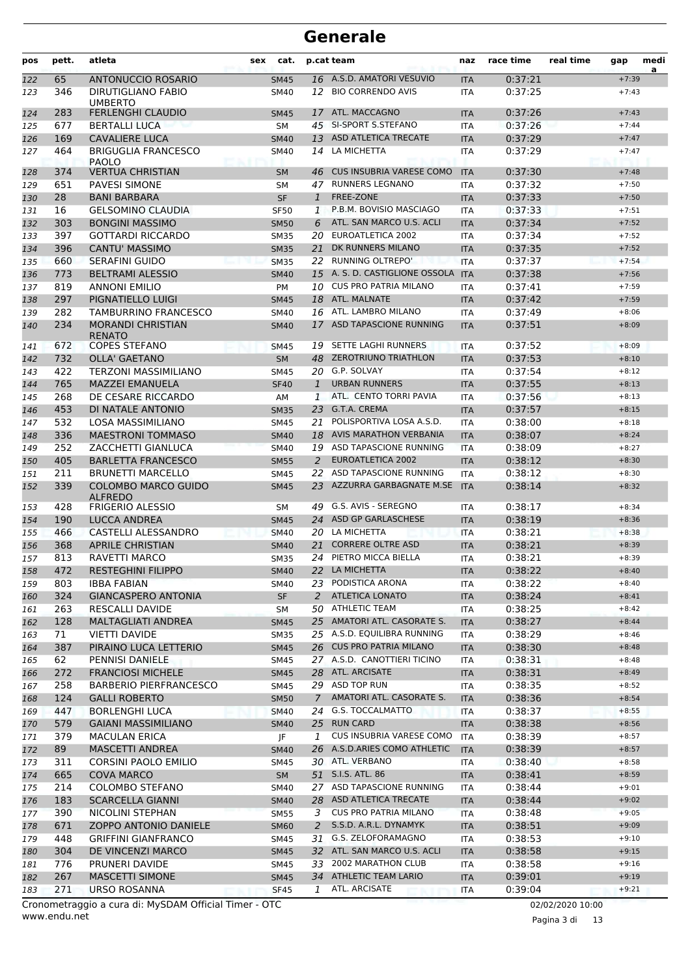| pos        | pett.      | atleta                                                | sex | cat.                       |                    | p.cat team                                 | naz                      | race time          | real time | gap                | medi<br>a |
|------------|------------|-------------------------------------------------------|-----|----------------------------|--------------------|--------------------------------------------|--------------------------|--------------------|-----------|--------------------|-----------|
| 122        | 65         | <b>ANTONUCCIO ROSARIO</b>                             |     | <b>SM45</b>                |                    | 16 A.S.D. AMATORI VESUVIO                  | <b>ITA</b>               | 0:37:21            |           | $+7:39$            |           |
| 123        | 346        | DIRUTIGLIANO FABIO                                    |     | <b>SM40</b>                | 12                 | <b>BIO CORRENDO AVIS</b>                   | <b>ITA</b>               | 0:37:25            |           | $+7:43$            |           |
|            |            | <b>UMBERTO</b>                                        |     |                            |                    |                                            |                          |                    |           |                    |           |
| 124        | 283        | <b>FERLENGHI CLAUDIO</b>                              |     | <b>SM45</b>                | 17                 | ATL. MACCAGNO                              | <b>ITA</b>               | 0:37:26            |           | $+7:43$            |           |
| 125        | 677        | <b>BERTALLI LUCA</b>                                  |     | SΜ                         | 45                 | SI-SPORT S.STEFANO<br>ASD ATLETICA TRECATE | <b>ITA</b>               | 0:37:26            |           | $+7:44$            |           |
| 126<br>127 | 169<br>464 | <b>CAVALIERE LUCA</b><br><b>BRIGUGLIA FRANCESCO</b>   |     | <b>SM40</b><br><b>SM40</b> | 13<br>14           | LA MICHETTA                                | <b>ITA</b><br><b>ITA</b> | 0:37:29<br>0:37:29 |           | $+7:47$<br>$+7:47$ |           |
|            |            | <b>PAOLO</b>                                          |     |                            |                    |                                            |                          |                    |           |                    |           |
| 128        | 374        | <b>VERTUA CHRISTIAN</b>                               |     | <b>SM</b>                  | 46                 | <b>CUS INSUBRIA VARESE COMO</b>            | <b>ITA</b>               | 0:37:30            |           | $+7:48$            |           |
| 129        | 651        | <b>PAVESI SIMONE</b>                                  |     | SΜ                         | 47                 | <b>RUNNERS LEGNANO</b>                     | <b>ITA</b>               | 0:37:32            |           | $+7:50$            |           |
| 130        | 28         | <b>BANI BARBARA</b>                                   |     | <b>SF</b>                  | 1                  | FREE-ZONE                                  | <b>ITA</b>               | 0:37:33            |           | $+7:50$            |           |
| 131        | 16         | <b>GELSOMINO CLAUDIA</b>                              |     | <b>SF50</b>                | 1                  | P.B.M. BOVISIO MASCIAGO                    | <b>ITA</b>               | 0:37:33            |           | $+7:51$            |           |
| 132        | 303        | <b>BONGINI MASSIMO</b>                                |     | <b>SM50</b>                | 6                  | ATL. SAN MARCO U.S. ACLI                   | <b>ITA</b>               | 0:37:34            |           | $+7:52$            |           |
| 133        | 397        | <b>GOTTARDI RICCARDO</b>                              |     | <b>SM35</b>                |                    | 20 EUROATLETICA 2002                       | <b>ITA</b>               | 0:37:34            |           | $+7:52$            |           |
| 134        | 396        | <b>CANTU' MASSIMO</b>                                 |     | <b>SM35</b>                | 21                 | DK RUNNERS MILANO                          | <b>ITA</b>               | 0:37:35            |           | $+7:52$            |           |
| 135        | 660        | <b>SERAFINI GUIDO</b>                                 |     | <b>SM35</b>                | 22                 | <b>RUNNING OLTREPO'</b>                    | <b>ITA</b>               | 0:37:37            |           | $+7:54$            |           |
| 136        | 773        | <b>BELTRAMI ALESSIO</b>                               |     | <b>SM40</b>                | 15                 | A. S. D. CASTIGLIONE OSSOLA                | <b>ITA</b>               | 0:37:38            |           | $+7:56$            |           |
| 137        | 819        | <b>ANNONI EMILIO</b>                                  |     | PM                         | 10                 | <b>CUS PRO PATRIA MILANO</b>               | <b>ITA</b>               | 0:37:41            |           | $+7:59$            |           |
| 138        | 297        | PIGNATIELLO LUIGI                                     |     | <b>SM45</b>                | 18                 | ATL. MALNATE                               | <b>ITA</b>               | 0:37:42            |           | $+7:59$            |           |
| 139        | 282        | TAMBURRINO FRANCESCO                                  |     | SM40                       |                    | 16 ATL. LAMBRO MILANO                      | <b>ITA</b>               | 0:37:49            |           | $+8:06$            |           |
| 140        | 234        | <b>MORANDI CHRISTIAN</b>                              |     | <b>SM40</b>                | 17                 | ASD TAPASCIONE RUNNING                     | <b>ITA</b>               | 0:37:51            |           | $+8:09$            |           |
|            |            | <b>RENATO</b>                                         |     |                            |                    | SETTE LAGHI RUNNERS                        |                          |                    |           |                    |           |
| 141        | 672<br>732 | <b>COPES STEFANO</b>                                  |     | <b>SM45</b>                | 19<br>48           | <b>ZEROTRIUNO TRIATHLON</b>                | <b>ITA</b>               | 0:37:52<br>0:37:53 |           | $+8:09$<br>$+8:10$ |           |
| 142        |            | <b>OLLA' GAETANO</b><br><b>TERZONI MASSIMILIANO</b>   |     | <b>SM</b>                  |                    | G.P. SOLVAY                                | <b>ITA</b>               | 0:37:54            |           | $+8:12$            |           |
| 143<br>144 | 422<br>765 | <b>MAZZEI EMANUELA</b>                                |     | SM45<br><b>SF40</b>        | 20<br>$\mathbf{1}$ | <b>URBAN RUNNERS</b>                       | <b>ITA</b><br><b>ITA</b> | 0:37:55            |           | $+8:13$            |           |
| 145        | 268        | DE CESARE RICCARDO                                    |     |                            | $\mathbf{1}$       | ATL. CENTO TORRI PAVIA                     |                          | 0:37:56            |           | $+8:13$            |           |
| 146        | 453        | DI NATALE ANTONIO                                     |     | AM<br><b>SM35</b>          | 23                 | G.T.A. CREMA                               | <b>ITA</b><br><b>ITA</b> | 0:37:57            |           | $+8:15$            |           |
| 147        | 532        | LOSA MASSIMILIANO                                     |     | <b>SM45</b>                | 21                 | POLISPORTIVA LOSA A.S.D.                   | <b>ITA</b>               | 0:38:00            |           | $+8:18$            |           |
| 148        | 336        | <b>MAESTRONI TOMMASO</b>                              |     | <b>SM40</b>                | 18                 | <b>AVIS MARATHON VERBANIA</b>              | <b>ITA</b>               | 0:38:07            |           | $+8:24$            |           |
| 149        | 252        | ZACCHETTI GIANLUCA                                    |     | <b>SM40</b>                | 19                 | ASD TAPASCIONE RUNNING                     | <b>ITA</b>               | 0:38:09            |           | $+8:27$            |           |
| 150        | 405        | <b>BARLETTA FRANCESCO</b>                             |     | <b>SM55</b>                | 2                  | <b>EUROATLETICA 2002</b>                   | <b>ITA</b>               | 0:38:12            |           | $+8:30$            |           |
| 151        | 211        | <b>BRUNETTI MARCELLO</b>                              |     | SM45                       | 22                 | ASD TAPASCIONE RUNNING                     | <b>ITA</b>               | 0:38:12            |           | $+8:30$            |           |
| 152        | 339        | <b>COLOMBO MARCO GUIDO</b>                            |     | <b>SM45</b>                | 23                 | AZZURRA GARBAGNATE M.SE                    | <b>ITA</b>               | 0:38:14            |           | $+8:32$            |           |
|            |            | <b>ALFREDO</b>                                        |     |                            |                    |                                            |                          |                    |           |                    |           |
| 153        | 428        | <b>FRIGERIO ALESSIO</b>                               |     | SM                         | 49                 | G.S. AVIS - SEREGNO<br>ASD GP GARLASCHESE  | <b>ITA</b>               | 0:38:17            |           | $+8:34$            |           |
| 154        | 190        | LUCCA ANDREA                                          |     | <b>SM45</b>                | 24                 | LA MICHETTA                                | <b>ITA</b>               | 0:38:19            |           | $+8:36$<br>$+8:38$ |           |
| 155        | 466<br>368 | <b>CASTELLI ALESSANDRO</b><br><b>APRILE CHRISTIAN</b> |     | SM40                       | 20<br>21           | <b>CORRERE OLTRE ASD</b>                   | <b>ITA</b>               | 0:38:21<br>0:38:21 |           | $+8:39$            |           |
| 156<br>157 | 813        | RAVETTI MARCO                                         |     | <b>SM40</b><br><b>SM35</b> |                    | 24 PIETRO MICCA BIELLA                     | <b>ITA</b><br><b>ITA</b> | 0:38:21            |           | $+8:39$            |           |
|            | 472        | <b>RESTEGHINI FILIPPO</b>                             |     |                            |                    | 22 LA MICHETTA                             |                          | 0:38:22            |           | $+8:40$            |           |
| 158<br>159 | 803        | <b>IBBA FABIAN</b>                                    |     | SM40<br>SM40               |                    | 23 PODISTICA ARONA                         | ITA<br>ITA               | 0:38:22            |           | $+8:40$            |           |
| 160        | 324        | <b>GIANCASPERO ANTONIA</b>                            |     | <b>SF</b>                  | 2                  | <b>ATLETICA LONATO</b>                     | <b>ITA</b>               | 0:38:24            |           | $+8:41$            |           |
| 161        | 263        | <b>RESCALLI DAVIDE</b>                                |     | SМ                         |                    | 50 ATHLETIC TEAM                           | <b>ITA</b>               | 0:38:25            |           | $+8:42$            |           |
| 162        | 128        | MALTAGLIATI ANDREA                                    |     | <b>SM45</b>                |                    | 25 AMATORI ATL. CASORATE S.                | <b>ITA</b>               | 0:38:27            |           | $+8:44$            |           |
| 163        | 71         | <b>VIETTI DAVIDE</b>                                  |     | <b>SM35</b>                |                    | 25 A.S.D. EQUILIBRA RUNNING                | ITA                      | 0:38:29            |           | $+8:46$            |           |
| 164        | 387        | PIRAINO LUCA LETTERIO                                 |     | <b>SM45</b>                |                    | 26 CUS PRO PATRIA MILANO                   | <b>ITA</b>               | 0:38:30            |           | $+8:48$            |           |
| 165        | 62         | PENNISI DANIELE                                       |     | SM45                       |                    | 27 A.S.D. CANOTTIERI TICINO                | ITA                      | 0:38:31            |           | $+8:48$            |           |
| 166        | 272        | <b>FRANCIOSI MICHELE</b>                              |     | <b>SM45</b>                |                    | 28 ATL. ARCISATE                           | <b>ITA</b>               | 0:38:31            |           | $+8:49$            |           |
| 167        | 258        | <b>BARBERIO PIERFRANCESCO</b>                         |     | SM45                       |                    | 29 ASD TOP RUN                             | ITA                      | 0:38:35            |           | $+8:52$            |           |
| 168        | 124        | <b>GALLI ROBERTO</b>                                  |     | <b>SM50</b>                | $7^{\circ}$        | AMATORI ATL. CASORATE S.                   | <b>ITA</b>               | 0:38:36            |           | $+8:54$            |           |
| 169        | 447        | <b>BORLENGHI LUCA</b>                                 |     | <b>SM40</b>                |                    | 24 G.S. TOCCALMATTO                        | ITA                      | 0:38:37            |           | $+8:55$            |           |
| 170        | 579        | <b>GAIANI MASSIMILIANO</b>                            |     | <b>SM40</b>                |                    | 25 RUN CARD                                | <b>ITA</b>               | 0:38:38            |           | $+8:56$            |           |
| 171        | 379        | <b>MACULAN ERICA</b>                                  |     | JF                         | 1                  | CUS INSUBRIA VARESE COMO                   | ITA                      | 0:38:39            |           | $+8:57$            |           |
| 172        | 89         | <b>MASCETTI ANDREA</b>                                |     | <b>SM40</b>                |                    | 26 A.S.D.ARIES COMO ATHLETIC               | <b>ITA</b>               | 0:38:39            |           | $+8:57$            |           |
| 173        | 311        | <b>CORSINI PAOLO EMILIO</b>                           |     | SM45                       |                    | 30 ATL. VERBANO                            | <b>ITA</b>               | 0:38:40            |           | $+8:58$            |           |
| 174        | 665        | <b>COVA MARCO</b>                                     |     | <b>SM</b>                  |                    | 51 S.I.S. ATL. 86                          | <b>ITA</b>               | 0:38:41            |           | $+8:59$            |           |
| 175        | 214        | <b>COLOMBO STEFANO</b>                                |     | SM40                       |                    | 27 ASD TAPASCIONE RUNNING                  | ITA                      | 0:38:44            |           | $+9:01$            |           |
| 176        | 183        | <b>SCARCELLA GIANNI</b>                               |     | <b>SM40</b>                |                    | 28 ASD ATLETICA TRECATE                    | <b>ITA</b>               | 0:38:44            |           | $+9:02$            |           |
| 177        | 390        | NICOLINI STEPHAN                                      |     | <b>SM55</b>                |                    | 3 CUS PRO PATRIA MILANO                    | <b>ITA</b>               | 0:38:48            |           | $+9:05$            |           |
| 178        | 671        | <b>ZOPPO ANTONIO DANIELE</b>                          |     | <b>SM60</b>                | 2                  | S.S.D. A.R.L. DYNAMYK                      | <b>ITA</b>               | 0:38:51            |           | $+9:09$            |           |
| 179        | 448        | <b>GRIFFINI GIANFRANCO</b>                            |     | SM45                       | 31                 | G.S. ZELOFORAMAGNO                         | ITA                      | 0:38:53            |           | $+9:10$            |           |
| 180        | 304        | DE VINCENZI MARCO                                     |     | <b>SM45</b>                |                    | 32 ATL. SAN MARCO U.S. ACLI                | <b>ITA</b>               | 0:38:58            |           | $+9:15$            |           |
| 181        | 776        | PRUNERI DAVIDE                                        |     | SM45                       |                    | 33 2002 MARATHON CLUB                      | ITA                      | 0:38:58            |           | $+9:16$            |           |
| 182        | 267        | <b>MASCETTI SIMONE</b>                                |     | <b>SM45</b>                |                    | 34 ATHLETIC TEAM LARIO                     | <b>ITA</b>               | 0:39:01            |           | $+9:19$            |           |
| 183        | 271        | URSO ROSANNA                                          |     | <b>SF45</b>                | 1                  | ATL. ARCISATE                              | ITA                      | 0:39:04            |           | $+9:21$            |           |

www.endu.net Cronometraggio a cura di: MySDAM Official Timer - OTC 02/02/2020 10:00

Pagina 3 di 13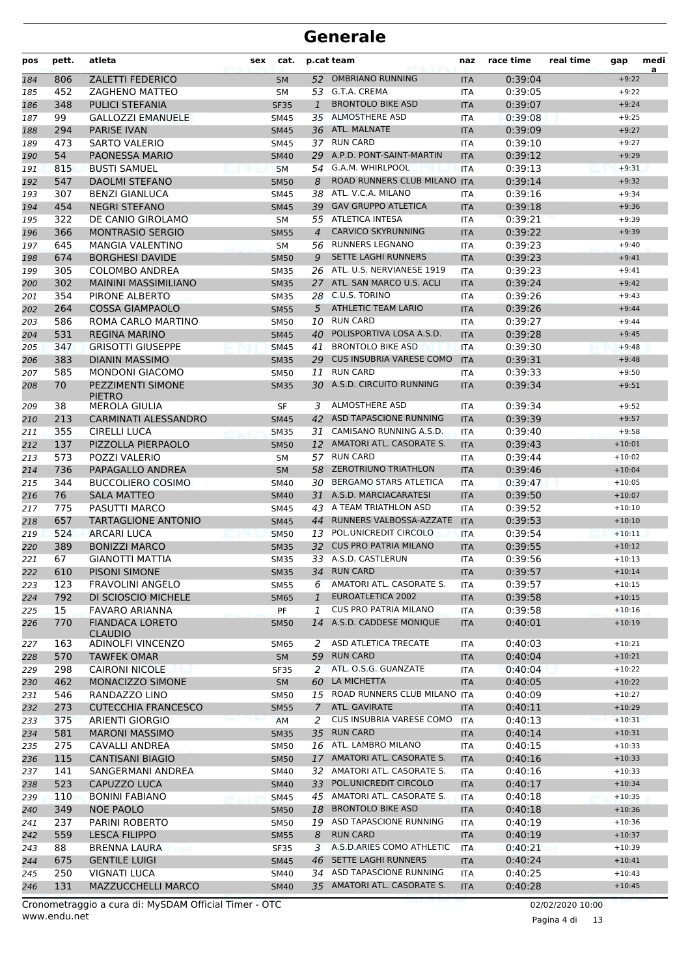| pos        | pett. | atleta                                     | sex | cat.        |                | p.cat team                      | naz               | race time          | real time | gap      | medi<br>a |
|------------|-------|--------------------------------------------|-----|-------------|----------------|---------------------------------|-------------------|--------------------|-----------|----------|-----------|
| 184        | 806   | <b>ZALETTI FEDERICO</b>                    |     | <b>SM</b>   | 52             | <b>OMBRIANO RUNNING</b>         | <b>ITA</b>        | 0:39:04            |           | $+9:22$  |           |
| 185        | 452   | ZAGHENO MATTEO                             |     | <b>SM</b>   |                | 53 G.T.A. CREMA                 | <b>ITA</b>        | 0:39:05            |           | $+9:22$  |           |
| 186        | 348   | PULICI STEFANIA                            |     | <b>SF35</b> | $\mathbf{1}$   | <b>BRONTOLO BIKE ASD</b>        | <b>ITA</b>        | 0:39:07            |           | $+9:24$  |           |
| 187        | 99    | <b>GALLOZZI EMANUELE</b>                   |     | <b>SM45</b> |                | 35 ALMOSTHERE ASD               | <b>ITA</b>        | 0:39:08            |           | $+9:25$  |           |
| 188        | 294   | <b>PARISE IVAN</b>                         |     | <b>SM45</b> |                | 36 ATL. MALNATE                 | <b>ITA</b>        | 0:39:09            |           | $+9:27$  |           |
| 189        | 473   | SARTO VALERIO                              |     | <b>SM45</b> |                | 37 RUN CARD                     | <b>ITA</b>        | 0:39:10            |           | $+9:27$  |           |
| 190        | 54    | PAONESSA MARIO                             |     | <b>SM40</b> |                | 29 A.P.D. PONT-SAINT-MARTIN     | <b>ITA</b>        | 0:39:12            |           | $+9:29$  |           |
| 191        | 815   | <b>BUSTI SAMUEL</b>                        |     | <b>SM</b>   |                | 54 G.A.M. WHIRLPOOL             | <b>ITA</b>        | 0:39:13            |           | $+9:31$  |           |
| 192        | 547   | <b>DAOLMI STEFANO</b>                      |     | <b>SM50</b> | 8              | ROAD RUNNERS CLUB MILANO ITA    |                   | 0:39:14            |           | $+9:32$  |           |
| 193        | 307   | <b>BENZI GIANLUCA</b>                      |     | <b>SM45</b> | 38             | ATL, V.C.A. MILANO              | <b>ITA</b>        | 0:39:16            |           | $+9:34$  |           |
| 194        | 454   | <b>NEGRI STEFANO</b>                       |     | <b>SM45</b> | 39             | <b>GAV GRUPPO ATLETICA</b>      | <b>ITA</b>        | 0:39:18            |           | $+9:36$  |           |
| 195        | 322   | DE CANIO GIROLAMO                          |     | <b>SM</b>   |                | 55 ATLETICA INTESA              | <b>ITA</b>        | 0:39:21            |           | $+9:39$  |           |
| 196        | 366   | <b>MONTRASIO SERGIO</b>                    |     | <b>SM55</b> | $\overline{4}$ | <b>CARVICO SKYRUNNING</b>       | <b>ITA</b>        | 0:39:22            |           | $+9:39$  |           |
| 197        | 645   | <b>MANGIA VALENTINO</b>                    |     | <b>SM</b>   |                | 56 RUNNERS LEGNANO              | <b>ITA</b>        | 0:39:23            |           | $+9:40$  |           |
| 198        | 674   | <b>BORGHESI DAVIDE</b>                     |     | <b>SM50</b> | 9              | <b>SETTE LAGHI RUNNERS</b>      | <b>ITA</b>        | 0:39:23            |           | $+9:41$  |           |
| 199        | 305   | <b>COLOMBO ANDREA</b>                      |     | <b>SM35</b> |                | 26 ATL. U.S. NERVIANESE 1919    | <b>ITA</b>        | 0:39:23            |           | $+9:41$  |           |
| 200        | 302   | <b>MAININI MASSIMILIANO</b>                |     | <b>SM35</b> | 27             | ATL. SAN MARCO U.S. ACLI        | <b>ITA</b>        | 0:39:24            |           | $+9:42$  |           |
| 201        | 354   | PIRONE ALBERTO                             |     | <b>SM35</b> |                | 28 C.U.S. TORINO                | <b>ITA</b>        | 0:39:26            |           | $+9:43$  |           |
| 202        | 264   | <b>COSSA GIAMPAOLO</b>                     |     | <b>SM55</b> | 5              | <b>ATHLETIC TEAM LARIO</b>      | <b>ITA</b>        | 0:39:26            |           | $+9:44$  |           |
| 203        | 586   | ROMA CARLO MARTINO                         |     | <b>SM50</b> |                | 10 RUN CARD                     | <b>ITA</b>        | 0:39:27            |           | $+9:44$  |           |
| 204        | 531   | <b>REGINA MARINO</b>                       |     | <b>SM45</b> | 40             | POLISPORTIVA LOSA A.S.D.        | <b>ITA</b>        | 0:39:28            |           | $+9:45$  |           |
| 205        | 347   | <b>GRISOTTI GIUSEPPE</b>                   |     | <b>SM45</b> | 41             | <b>BRONTOLO BIKE ASD</b>        | <b>ITA</b>        | 0:39:30            |           | $+9:48$  |           |
| 206        | 383   | <b>DIANIN MASSIMO</b>                      |     | <b>SM35</b> | 29             | <b>CUS INSUBRIA VARESE COMO</b> | <b>ITA</b>        | 0:39:31            |           | $+9:48$  |           |
| 207        | 585   | <b>MONDONI GIACOMO</b>                     |     | <b>SM50</b> | 11             | <b>RUN CARD</b>                 | <b>ITA</b>        | 0:39:33            |           | $+9:50$  |           |
| 208        | 70    | PEZZIMENTI SIMONE                          |     | <b>SM35</b> |                | 30 A.S.D. CIRCUITO RUNNING      | <b>ITA</b>        | 0:39:34            |           | $+9:51$  |           |
|            |       | <b>PIETRO</b>                              |     |             |                |                                 |                   |                    |           |          |           |
| 209        | 38    | <b>MEROLA GIULIA</b>                       |     | SF          |                | 3 ALMOSTHERE ASD                | <b>ITA</b>        | 0:39:34            |           | $+9:52$  |           |
| 210        | 213   | <b>CARMINATI ALESSANDRO</b>                |     | <b>SM45</b> |                | 42 ASD TAPASCIONE RUNNING       | <b>ITA</b>        | 0:39:39            |           | $+9:57$  |           |
| 211        | 355   | <b>CIRELLI LUCA</b>                        |     | <b>SM35</b> |                | 31 CAMISANO RUNNING A.S.D.      | <b>ITA</b>        | 0:39:40            |           | $+9:58$  |           |
| 212        | 137   | PIZZOLLA PIERPAOLO                         |     | <b>SM50</b> |                | 12 AMATORI ATL. CASORATE S.     | <b>ITA</b>        | 0:39:43            |           | $+10:01$ |           |
| 213        | 573   | POZZI VALERIO                              |     | <b>SM</b>   | 57             | <b>RUN CARD</b>                 | <b>ITA</b>        | 0:39:44            |           | $+10:02$ |           |
| 214        | 736   | PAPAGALLO ANDREA                           |     | <b>SM</b>   |                | 58 ZEROTRIUNO TRIATHLON         | <b>ITA</b>        | 0:39:46            |           | $+10:04$ |           |
| 215        | 344   | <b>BUCCOLIERO COSIMO</b>                   |     | <b>SM40</b> |                | 30 BERGAMO STARS ATLETICA       | <b>ITA</b>        | 0:39:47            |           | $+10:05$ |           |
| 216        | 76    | <b>SALA MATTEO</b>                         |     | <b>SM40</b> |                | 31 A.S.D. MARCIACARATESI        | <b>ITA</b>        | 0:39:50            |           | $+10:07$ |           |
| 217        | 775   | PASUTTI MARCO                              |     | SM45        |                | 43 A TEAM TRIATHLON ASD         | <b>ITA</b>        | 0:39:52            |           | $+10:10$ |           |
| 218        | 657   | <b>TARTAGLIONE ANTONIO</b>                 |     | <b>SM45</b> | 44             | RUNNERS VALBOSSA-AZZATE         | <b>ITA</b>        | 0:39:53            |           | $+10:10$ |           |
| 219        | 524   | <b>ARCARI LUCA</b>                         |     | <b>SM50</b> | 13             | POL.UNICREDIT CIRCOLO           | <b>ITA</b>        | 0:39:54            |           | $+10:11$ |           |
| 220        | 389   | <b>BONIZZI MARCO</b>                       |     | <b>SM35</b> |                | 32 CUS PRO PATRIA MILANO        | <b>ITA</b>        | 0:39:55            |           | $+10:12$ |           |
| 221        | 67    | <b>GIANOTTI MATTIA</b>                     |     | <b>SM35</b> |                | 33 A.S.D. CASTLERUN             | <b>ITA</b>        | 0:39:56            |           | $+10:13$ |           |
| 222        | 610   | PISONI SIMONE                              |     | <b>SM35</b> |                | 34 RUN CARD                     | ITA               | 0:39:57            |           | $+10:14$ |           |
| 223        | 123   | <b>FRAVOLINI ANGELO</b>                    |     | <b>SM55</b> | 6              | AMATORI ATL. CASORATE S.        | ITA.              | 0:39:57            |           | $+10:15$ |           |
| 224        | 792   | DI SCIOSCIO MICHELE                        |     | <b>SM65</b> | $\mathbf{1}$   | EUROATLETICA 2002               | <b>ITA</b>        | 0:39:58            |           | $+10:15$ |           |
| 225        | 15    | <b>FAVARO ARIANNA</b>                      |     | PF          | 1              | <b>CUS PRO PATRIA MILANO</b>    | ITA               | 0:39:58            |           | $+10:16$ |           |
| 226        | 770   | <b>FIANDACA LORETO</b>                     |     | <b>SM50</b> |                | 14 A.S.D. CADDESE MONIQUE       | <b>ITA</b>        | 0:40:01            |           | $+10:19$ |           |
| 227        | 163   | <b>CLAUDIO</b><br><b>ADINOLFI VINCENZO</b> |     | SM65        | 2              | ASD ATLETICA TRECATE            | ITA               | 0:40:03            |           | $+10:21$ |           |
| 228        | 570   | TAWFEK OMAR                                |     | <b>SM</b>   |                | 59 RUN CARD                     | <b>ITA</b>        | 0:40:04            |           | $+10:21$ |           |
| 229        | 298   | <b>CAIRONI NICOLE</b>                      |     | <b>SF35</b> |                | 2 ATL. O.S.G. GUANZATE          | <b>ITA</b>        | 0:40:04            |           | $+10:22$ |           |
| 230        | 462   | MONACIZZO SIMONE                           |     | <b>SM</b>   |                | 60 LA MICHETTA                  | <b>ITA</b>        | 0:40:05            |           | $+10:22$ |           |
| 231        | 546   | RANDAZZO LINO                              |     | <b>SM50</b> |                | 15 ROAD RUNNERS CLUB MILANO ITA |                   | 0:40:09            |           | $+10:27$ |           |
| 232        | 273   | <b>CUTECCHIA FRANCESCO</b>                 |     | <b>SM55</b> | $7^{\circ}$    | ATL. GAVIRATE                   | <b>ITA</b>        | 0:40:11            |           | $+10:29$ |           |
| 233        | 375   | ARIENTI GIORGIO                            |     | AM          | 2              | CUS INSUBRIA VARESE COMO        | <b>ITA</b>        | 0:40:13            |           | $+10:31$ |           |
| 234        | 581   | <b>MARONI MASSIMO</b>                      |     | <b>SM35</b> |                | 35 RUN CARD                     | <b>ITA</b>        | 0:40:14            |           | $+10:31$ |           |
| 235        | 275   | CAVALLI ANDREA                             |     | SM50        |                | 16 ATL. LAMBRO MILANO           | ITA               | 0:40:15            |           | $+10:33$ |           |
| 236        | 115   | <b>CANTISANI BIAGIO</b>                    |     | <b>SM50</b> |                | 17 AMATORI ATL. CASORATE S.     | <b>ITA</b>        | 0:40:16            |           | $+10:33$ |           |
| 237        | 141   | SANGERMANI ANDREA                          |     | SM40        |                | 32 AMATORI ATL. CASORATE S.     | ITA               | 0:40:16            |           | $+10:33$ |           |
| 238        | 523   | CAPUZZO LUCA                               |     | <b>SM40</b> |                | 33 POL.UNICREDIT CIRCOLO        | <b>ITA</b>        | 0:40:17            |           | $+10:34$ |           |
|            | 110   | <b>BONINI FABIANO</b>                      |     | <b>SM45</b> |                | 45 AMATORI ATL. CASORATE S.     | ITA               | 0:40:18            |           | $+10:35$ |           |
| 239<br>240 | 349   | <b>NOE PAOLO</b>                           |     | <b>SM50</b> |                | 18 BRONTOLO BIKE ASD            | <b>ITA</b>        | 0:40:18            |           | $+10:36$ |           |
|            | 237   | PARINI ROBERTO                             |     |             |                | 19 ASD TAPASCIONE RUNNING       |                   | 0:40:19            |           | $+10:36$ |           |
| 241        | 559   | <b>LESCA FILIPPO</b>                       |     | <b>SM50</b> | 8              | <b>RUN CARD</b>                 | ITA<br><b>ITA</b> | 0:40:19            |           | $+10:37$ |           |
| 242        | 88    |                                            |     | <b>SM55</b> | 3              | A.S.D.ARIES COMO ATHLETIC       | ITA               |                    |           | $+10:39$ |           |
| 243        | 675   | BRENNA LAURA<br><b>GENTILE LUIGI</b>       |     | <b>SF35</b> | 46             | SETTE LAGHI RUNNERS             |                   | 0:40:21<br>0:40:24 |           | $+10:41$ |           |
| 244        |       |                                            |     | <b>SM45</b> |                | 34 ASD TAPASCIONE RUNNING       | <b>ITA</b>        |                    |           | $+10:43$ |           |
| 245        | 250   | VIGNATI LUCA                               |     | SM40        |                |                                 | ITA               | 0:40:25            |           |          |           |
| 246        | 131   | MAZZUCCHELLI MARCO                         |     | <b>SM40</b> |                | 35 AMATORI ATL. CASORATE S.     | <b>ITA</b>        | 0:40:28            |           | $+10:45$ |           |

Pagina 4 di 13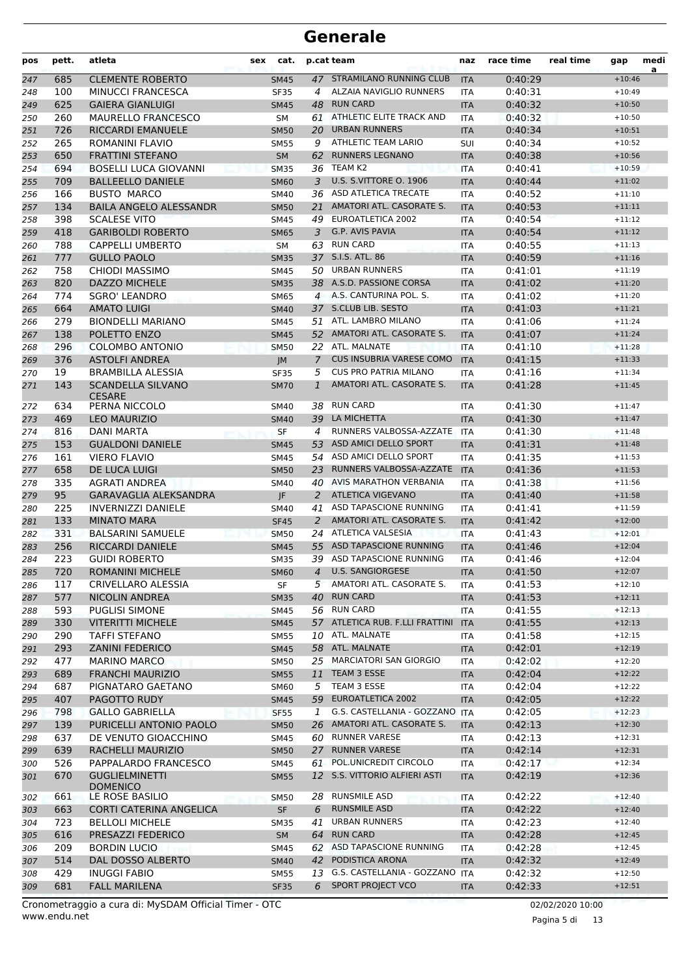| pos | pett. | atleta                                    | sex | cat.             |                | p.cat team                        | naz        | race time | real time | gap      | medi<br>a |
|-----|-------|-------------------------------------------|-----|------------------|----------------|-----------------------------------|------------|-----------|-----------|----------|-----------|
| 247 | 685   | <b>CLEMENTE ROBERTO</b>                   |     | <b>SM45</b>      |                | 47 STRAMILANO RUNNING CLUB        | <b>ITA</b> | 0:40:29   |           | $+10:46$ |           |
| 248 | 100   | <b>MINUCCI FRANCESCA</b>                  |     | <b>SF35</b>      | 4              | ALZAIA NAVIGLIO RUNNERS           | <b>ITA</b> | 0:40:31   |           | $+10:49$ |           |
| 249 | 625   | <b>GAIERA GIANLUIGI</b>                   |     | <b>SM45</b>      | 48             | <b>RUN CARD</b>                   | <b>ITA</b> | 0:40:32   |           | $+10:50$ |           |
| 250 | 260   | <b>MAURELLO FRANCESCO</b>                 |     | SM               | 61             | ATHLETIC ELITE TRACK AND          | <b>ITA</b> | 0:40:32   |           | $+10:50$ |           |
| 251 | 726   | <b>RICCARDI EMANUELE</b>                  |     | <b>SM50</b>      | 20             | <b>URBAN RUNNERS</b>              | <b>ITA</b> | 0:40:34   |           | $+10:51$ |           |
| 252 | 265   | ROMANINI FLAVIO                           |     | <b>SM55</b>      | 9              | ATHLETIC TEAM LARIO               | <b>SUI</b> | 0:40:34   |           | $+10:52$ |           |
| 253 | 650   | <b>FRATTINI STEFANO</b>                   |     | <b>SM</b>        | 62             | <b>RUNNERS LEGNANO</b>            | <b>ITA</b> | 0:40:38   |           | $+10:56$ |           |
| 254 | 694   | <b>BOSELLI LUCA GIOVANNI</b>              |     | <b>SM35</b>      |                | 36 TEAM K2                        | <b>ITA</b> | 0:40:41   |           | $+10:59$ |           |
| 255 | 709   | <b>BALLEELLO DANIELE</b>                  |     | <b>SM60</b>      | 3              | <b>U.S. S.VITTORE O. 1906</b>     | <b>ITA</b> | 0:40:44   |           | $+11:02$ |           |
| 256 | 166   | <b>BUSTO MARCO</b>                        |     | SM40             | 36             | ASD ATLETICA TRECATE              | <b>ITA</b> | 0:40:52   |           | $+11:10$ |           |
| 257 | 134   | <b>BAILA ANGELO ALESSANDR</b>             |     | <b>SM50</b>      | 21             | AMATORI ATL. CASORATE S.          | <b>ITA</b> | 0:40:53   |           | $+11:11$ |           |
| 258 | 398   | <b>SCALESE VITO</b>                       |     | <b>SM45</b>      | 49             | EUROATLETICA 2002                 | <b>ITA</b> | 0:40:54   |           | $+11:12$ |           |
| 259 | 418   | <b>GARIBOLDI ROBERTO</b>                  |     | <b>SM65</b>      | 3              | G.P. AVIS PAVIA                   | <b>ITA</b> | 0:40:54   |           | $+11:12$ |           |
| 260 | 788   | <b>CAPPELLI UMBERTO</b>                   |     | <b>SM</b>        |                | 63 RUN CARD                       | ITA        | 0:40:55   |           | $+11:13$ |           |
| 261 | 777   | <b>GULLO PAOLO</b>                        |     | <b>SM35</b>      |                | 37 S.I.S. ATL. 86                 | <b>ITA</b> | 0:40:59   |           | $+11:16$ |           |
| 262 | 758   | <b>CHIODI MASSIMO</b>                     |     | SM45             | 50             | <b>URBAN RUNNERS</b>              | <b>ITA</b> | 0:41:01   |           | $+11:19$ |           |
| 263 | 820   | DAZZO MICHELE                             |     | <b>SM35</b>      |                | 38 A.S.D. PASSIONE CORSA          | <b>ITA</b> | 0:41:02   |           | $+11:20$ |           |
| 264 | 774   | <b>SGRO' LEANDRO</b>                      |     | SM65             | $\overline{4}$ | A.S. CANTURINA POL. S.            | <b>ITA</b> | 0:41:02   |           | $+11:20$ |           |
| 265 | 664   | <b>AMATO LUIGI</b>                        |     | <b>SM40</b>      |                | 37 S.CLUB LIB. SESTO              | <b>ITA</b> | 0:41:03   |           | $+11:21$ |           |
| 266 | 279   | <b>BIONDELLI MARIANO</b>                  |     | SM45             |                | 51 ATL. LAMBRO MILANO             | <b>ITA</b> | 0:41:06   |           | $+11:24$ |           |
| 267 | 138   | POLETTO ENZO                              |     | <b>SM45</b>      |                | 52 AMATORI ATL, CASORATE S.       | <b>ITA</b> | 0:41:07   |           | $+11:24$ |           |
| 268 | 296   | <b>COLOMBO ANTONIO</b>                    |     | <b>SM50</b>      | 22             | ATL. MALNATE                      | <b>ITA</b> | 0:41:10   |           | $+11:28$ |           |
| 269 | 376   | <b>ASTOLFI ANDREA</b>                     |     | JM               | $\mathcal{I}$  | <b>CUS INSUBRIA VARESE COMO</b>   | <b>ITA</b> | 0:41:15   |           | $+11:33$ |           |
| 270 | 19    | <b>BRAMBILLA ALESSIA</b>                  |     | <b>SF35</b>      | 5              | <b>CUS PRO PATRIA MILANO</b>      | <b>ITA</b> | 0:41:16   |           | $+11:34$ |           |
| 271 | 143   | <b>SCANDELLA SILVANO</b><br><b>CESARE</b> |     | <b>SM70</b>      | $\mathbf{1}$   | AMATORI ATL. CASORATE S.          | <b>ITA</b> | 0:41:28   |           | $+11:45$ |           |
| 272 | 634   | PERNA NICCOLO                             |     | SM40             | 38             | <b>RUN CARD</b>                   | <b>ITA</b> | 0:41:30   |           | $+11:47$ |           |
| 273 | 469   | <b>LEO MAURIZIO</b>                       |     | <b>SM40</b>      |                | 39 LA MICHETTA                    | <b>ITA</b> | 0:41:30   |           | $+11:47$ |           |
| 274 | 816   | DANI MARTA                                |     | <b>SF</b>        | 4              | RUNNERS VALBOSSA-AZZATE           | <b>ITA</b> | 0:41:30   |           | $+11:48$ |           |
| 275 | 153   | <b>GUALDONI DANIELE</b>                   |     | <b>SM45</b>      | 53             | ASD AMICI DELLO SPORT             | <b>ITA</b> | 0:41:31   |           | $+11:48$ |           |
| 276 | 161   | <b>VIERO FLAVIO</b>                       |     | SM45             |                | 54 ASD AMICI DELLO SPORT          | <b>ITA</b> | 0:41:35   |           | $+11:53$ |           |
| 277 | 658   | DE LUCA LUIGI                             |     | <b>SM50</b>      | 23             | RUNNERS VALBOSSA-AZZATE           | <b>ITA</b> | 0:41:36   |           | $+11:53$ |           |
| 278 | 335   | <b>AGRATI ANDREA</b>                      |     | SM40             |                | 40 AVIS MARATHON VERBANIA         | <b>ITA</b> | 0:41:38   |           | $+11:56$ |           |
| 279 | 95    | <b>GARAVAGLIA ALEKSANDRA</b>              |     | IF.              |                | 2 ATLETICA VIGEVANO               | <b>ITA</b> | 0:41:40   |           | $+11:58$ |           |
| 280 | 225   | <b>INVERNIZZI DANIELE</b>                 |     | <b>SM40</b>      | 41             | ASD TAPASCIONE RUNNING            | <b>ITA</b> | 0:41:41   |           | $+11:59$ |           |
| 281 | 133   | <b>MINATO MARA</b>                        |     | <b>SF45</b>      | 2              | AMATORI ATL. CASORATE S.          | <b>ITA</b> | 0:41:42   |           | $+12:00$ |           |
| 282 | 331   | <b>BALSARINI SAMUELE</b>                  |     | <b>SM50</b>      |                | 24 ATLETICA VALSESIA              | <b>ITA</b> | 0:41:43   |           | $+12:01$ |           |
| 283 | 256   | RICCARDI DANIELE                          |     | <b>SM45</b>      |                | 55 ASD TAPASCIONE RUNNING         | <b>ITA</b> | 0:41:46   |           | $+12:04$ |           |
| 284 | 223   | <b>GUIDI ROBERTO</b>                      |     | <b>SM35</b>      |                | 39 ASD TAPASCIONE RUNNING         | <b>ITA</b> | 0:41:46   |           | $+12:04$ |           |
| 285 | 720   | ROMANINI MICHELE                          |     | <b>SM60</b>      |                | 4 U.S. SANGIORGESE                | <b>ITA</b> | 0:41:50   |           | $+12:07$ |           |
| 286 | 117   | CRIVELLARO ALESSIA                        |     | SF               |                | 5 AMATORI ATL. CASORATE S.        | ITA        | 0:41:53   |           | $+12:10$ |           |
| 287 | 577   | <b>NICOLIN ANDREA</b>                     |     | <b>SM35</b>      | 40             | <b>RUN CARD</b>                   | <b>ITA</b> | 0:41:53   |           | $+12:11$ |           |
| 288 | 593   | <b>PUGLISI SIMONE</b>                     |     | SM45             |                | 56 RUN CARD                       | ITA        | 0:41:55   |           | $+12:13$ |           |
| 289 | 330   | <b>VITERITTI MICHELE</b>                  |     | <b>SM45</b>      |                | 57 ATLETICA RUB. F.LLI FRATTINI   | <b>ITA</b> | 0:41:55   |           | $+12:13$ |           |
| 290 | 290   | <b>TAFFI STEFANO</b>                      |     | <b>SM55</b>      |                | 10 ATL. MALNATE                   | ITA        | 0:41:58   |           | $+12:15$ |           |
| 291 | 293   | <b>ZANINI FEDERICO</b>                    |     | <b>SM45</b>      |                | 58 ATL. MALNATE                   | <b>ITA</b> | 0:42:01   |           | $+12:19$ |           |
| 292 | 477   | <b>MARINO MARCO</b>                       |     | SM50             |                | 25 MARCIATORI SAN GIORGIO         | ITA        | 0:42:02   |           | $+12:20$ |           |
| 293 | 689   | <b>FRANCHI MAURIZIO</b>                   |     | <b>SM55</b>      | 11             | TEAM 3 ESSE                       | <b>ITA</b> | 0:42:04   |           | $+12:22$ |           |
| 294 | 687   | PIGNATARO GAETANO                         |     | <b>SM60</b>      | 5              | TEAM 3 ESSE                       | ITA        | 0:42:04   |           | $+12:22$ |           |
| 295 | 407   | PAGOTTO RUDY                              |     | <b>SM45</b>      | 59             | EUROATLETICA 2002                 | <b>ITA</b> | 0:42:05   |           | $+12:22$ |           |
| 296 | 798   | <b>GALLO GABRIELLA</b>                    |     | SF <sub>55</sub> | 1              | G.S. CASTELLANIA - GOZZANO ITA    |            | 0:42:05   |           | $+12:23$ |           |
| 297 | 139   | PURICELLI ANTONIO PAOLO                   |     | <b>SM50</b>      |                | 26 AMATORI ATL. CASORATE S.       | <b>ITA</b> | 0:42:13   |           | $+12:30$ |           |
| 298 | 637   | DE VENUTO GIOACCHINO                      |     | SM45             |                | 60 RUNNER VARESE                  | ITA        | 0:42:13   |           | $+12:31$ |           |
| 299 | 639   | RACHELLI MAURIZIO                         |     | <b>SM50</b>      | 27             | <b>RUNNER VARESE</b>              | <b>ITA</b> | 0:42:14   |           | $+12:31$ |           |
| 300 | 526   | PAPPALARDO FRANCESCO                      |     | SM45             | 61             | POL.UNICREDIT CIRCOLO             | ITA        | 0:42:17   |           | $+12:34$ |           |
| 301 | 670   | <b>GUGLIELMINETTI</b><br><b>DOMENICO</b>  |     | <b>SM55</b>      |                | 12 S.S. VITTORIO ALFIERI ASTI     | <b>ITA</b> | 0:42:19   |           | $+12:36$ |           |
| 302 | 661   | LE ROSE BASILIO                           |     | <b>SM50</b>      | 28             | RUNSMILE ASD                      | <b>ITA</b> | 0:42:22   |           | $+12:40$ |           |
| 303 | 663   | CORTI CATERINA ANGELICA                   |     | SF               | 6              | <b>RUNSMILE ASD</b>               | <b>ITA</b> | 0:42:22   |           | $+12:40$ |           |
| 304 | 723   | <b>BELLOLI MICHELE</b>                    |     | <b>SM35</b>      | 41             | <b>URBAN RUNNERS</b>              | ITA        | 0:42:23   |           | $+12:40$ |           |
| 305 | 616   | PRESAZZI FEDERICO                         |     | <b>SM</b>        | 64             | <b>RUN CARD</b>                   | <b>ITA</b> | 0:42:28   |           | $+12:45$ |           |
| 306 | 209   | <b>BORDIN LUCIO</b>                       |     | SM45             | 62             | ASD TAPASCIONE RUNNING            | ITA        | 0:42:28   |           | $+12:45$ |           |
| 307 | 514   | DAL DOSSO ALBERTO                         |     | <b>SM40</b>      |                | 42 PODISTICA ARONA                | <b>ITA</b> | 0:42:32   |           | $+12:49$ |           |
| 308 | 429   | <b>INUGGI FABIO</b>                       |     | <b>SM55</b>      |                | 13 G.S. CASTELLANIA - GOZZANO ITA |            | 0:42:32   |           | $+12:50$ |           |
| 309 | 681   | <b>FALL MARILENA</b>                      |     | <b>SF35</b>      | 6              | SPORT PROJECT VCO                 | <b>ITA</b> | 0:42:33   |           | $+12:51$ |           |

www.endu.net Cronometraggio a cura di: MySDAM Official Timer - OTC 02/02/2020 10:00

Pagina 5 di 13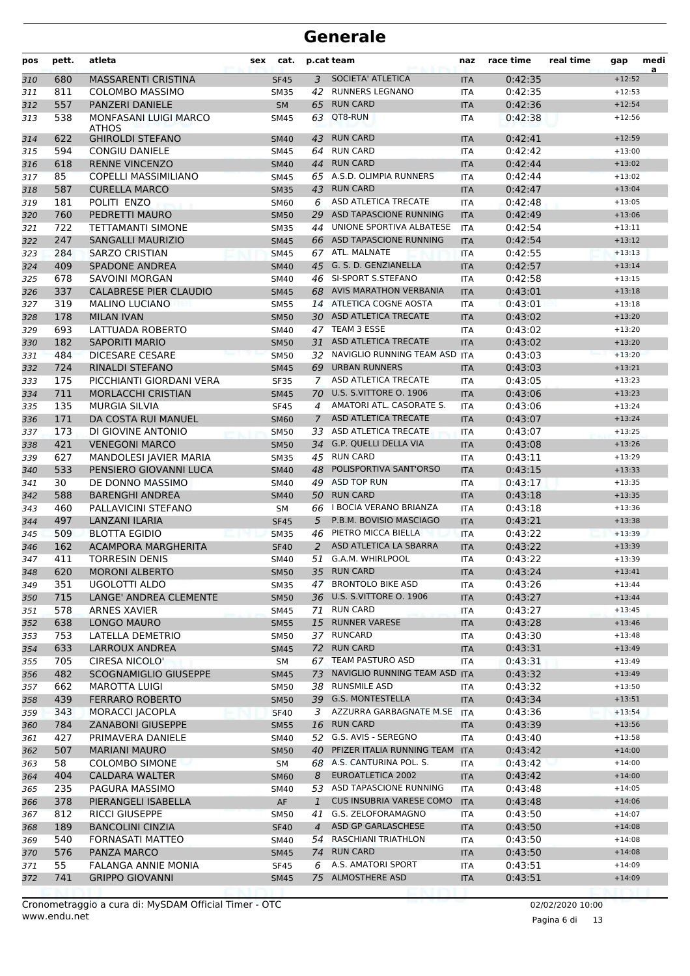| pos        | pett.      | atleta                                          | sex | cat.                       |              | p.cat team                                      | naz                      | race time          | real time | gap                  | medi<br>a |
|------------|------------|-------------------------------------------------|-----|----------------------------|--------------|-------------------------------------------------|--------------------------|--------------------|-----------|----------------------|-----------|
| 310        | 680        | <b>MASSARENTI CRISTINA</b>                      |     | <b>SF45</b>                | 3            | SOCIETA' ATLETICA                               | <b>ITA</b>               | 0:42:35            |           | $+12:52$             |           |
| 311        | 811        | <b>COLOMBO MASSIMO</b>                          |     | <b>SM35</b>                | 42           | RUNNERS LEGNANO                                 | <b>ITA</b>               | 0:42:35            |           | $+12:53$             |           |
| 312        | 557        | PANZERI DANIELE                                 |     | <b>SM</b>                  | 65           | <b>RUN CARD</b>                                 | <b>ITA</b>               | 0:42:36            |           | $+12:54$             |           |
| 313        | 538        | <b>MONFASANI LUIGI MARCO</b><br><b>ATHOS</b>    |     | <b>SM45</b>                | 63           | QT8-RUN                                         | <b>ITA</b>               | 0:42:38            |           | $+12:56$             |           |
| 314        | 622        | <b>GHIROLDI STEFANO</b>                         |     | <b>SM40</b>                | 43           | <b>RUN CARD</b>                                 | <b>ITA</b>               | 0:42:41            |           | $+12:59$             |           |
| 315        | 594        | <b>CONGIU DANIELE</b>                           |     | <b>SM45</b>                | 64           | <b>RUN CARD</b>                                 | <b>ITA</b>               | 0:42:42            |           | $+13:00$             |           |
| 316        | 618        | <b>RENNE VINCENZO</b>                           |     | <b>SM40</b>                | 44           | <b>RUN CARD</b>                                 | <b>ITA</b>               | 0:42:44            |           | $+13:02$             |           |
| 317        | 85         | COPELLI MASSIMILIANO                            |     | <b>SM45</b>                |              | 65 A.S.D. OLIMPIA RUNNERS                       | <b>ITA</b>               | 0:42:44            |           | $+13:02$             |           |
| 318        | 587        | <b>CURELLA MARCO</b>                            |     | <b>SM35</b>                |              | 43 RUN CARD                                     | <b>ITA</b>               | 0:42:47            |           | $+13:04$             |           |
| 319        | 181        | POLITI ENZO                                     |     | SM60                       | 6            | ASD ATLETICA TRECATE                            | <b>ITA</b>               | 0:42:48            |           | $+13:05$             |           |
| 320        | 760        | PEDRETTI MAURO                                  |     | <b>SM50</b>                | 29           | ASD TAPASCIONE RUNNING                          | <b>ITA</b>               | 0:42:49            |           | $+13:06$             |           |
| 321        | 722        | <b>TETTAMANTI SIMONE</b>                        |     | <b>SM35</b>                | 44           | UNIONE SPORTIVA ALBATESE                        | <b>ITA</b>               | 0:42:54            |           | $+13:11$             |           |
| 322        | 247        | <b>SANGALLI MAURIZIO</b>                        |     | <b>SM45</b>                |              | 66 ASD TAPASCIONE RUNNING                       | <b>ITA</b>               | 0:42:54            |           | $+13:12$             |           |
| 323        | 284        | <b>SARZO CRISTIAN</b>                           |     | <b>SM45</b>                |              | 67 ATL. MALNATE                                 | <b>ITA</b>               | 0:42:55            |           | $+13:13$             |           |
| 324        | 409        | <b>SPADONE ANDREA</b>                           |     | <b>SM40</b>                |              | 45 G. S. D. GENZIANELLA                         | <b>ITA</b>               | 0:42:57            |           | $+13:14$             |           |
| 325        | 678        | <b>SAVOINI MORGAN</b>                           |     | SM40                       |              | 46 SI-SPORT S.STEFANO                           | <b>ITA</b>               | 0:42:58            |           | $+13:15$             |           |
| 326        | 337        | <b>CALABRESE PIER CLAUDIO</b>                   |     | <b>SM45</b>                |              | 68 AVIS MARATHON VERBANIA                       | <b>ITA</b>               | 0:43:01            |           | $+13:18$             |           |
| 327        | 319        | <b>MALINO LUCIANO</b>                           |     | <b>SM55</b>                |              | 14 ATLETICA COGNE AOSTA                         | <b>ITA</b>               | 0:43:01            |           | $+13:18$             |           |
| 328        | 178        | <b>MILAN IVAN</b>                               |     | <b>SM50</b>                |              | 30 ASD ATLETICA TRECATE                         | <b>ITA</b>               | 0:43:02            |           | $+13:20$             |           |
| 329        | 693        | LATTUADA ROBERTO                                |     | SM40                       |              | 47 TEAM 3 ESSE                                  | <b>ITA</b>               | 0:43:02            |           | $+13:20$             |           |
| 330        | 182        | <b>SAPORITI MARIO</b>                           |     | <b>SM50</b>                |              | 31 ASD ATLETICA TRECATE                         | <b>ITA</b>               | 0:43:02            |           | $+13:20$             |           |
| 331        | 484        | <b>DICESARE CESARE</b>                          |     | <b>SM50</b>                |              | 32 NAVIGLIO RUNNING TEAM ASD ITA                |                          | 0:43:03            |           | $+13:20$             |           |
| 332        | 724        | RINALDI STEFANO                                 |     | <b>SM45</b>                | 69           | <b>URBAN RUNNERS</b>                            | <b>ITA</b>               | 0:43:03            |           | $+13:21$             |           |
| 333        | 175        | PICCHIANTI GIORDANI VERA                        |     | <b>SF35</b>                | 7            | ASD ATLETICA TRECATE                            | <b>ITA</b>               | 0:43:05            |           | $+13:23$             |           |
| 334        | 711        | <b>MORLACCHI CRISTIAN</b>                       |     | <b>SM45</b>                |              | 70 U.S. S.VITTORE O. 1906                       | <b>ITA</b>               | 0:43:06            |           | $+13:23$             |           |
| 335        | 135        | <b>MURGIA SILVIA</b>                            |     | <b>SF45</b>                | 4            | AMATORI ATL. CASORATE S.                        | <b>ITA</b>               | 0:43:06            |           | $+13:24$             |           |
| 336        | 171        | DA COSTA RUI MANUEL                             |     | <b>SM60</b>                | $7^{\circ}$  | ASD ATLETICA TRECATE<br>33 ASD ATLETICA TRECATE | <b>ITA</b>               | 0:43:07            |           | $+13:24$             |           |
| 337        | 173        | DI GIOVINE ANTONIO                              |     | <b>SM50</b>                |              | 34 G.P. QUELLI DELLA VIA                        | <b>ITA</b>               | 0:43:07            |           | $+13:25$<br>$+13:26$ |           |
| 338<br>339 | 421<br>627 | <b>VENEGONI MARCO</b><br>MANDOLESI JAVIER MARIA |     | <b>SM50</b><br><b>SM35</b> | 45           | <b>RUN CARD</b>                                 | <b>ITA</b><br><b>ITA</b> | 0:43:08<br>0:43:11 |           | $+13:29$             |           |
| 340        | 533        | PENSIERO GIOVANNI LUCA                          |     | <b>SM40</b>                | 48           | POLISPORTIVA SANT'ORSO                          | <b>ITA</b>               | 0:43:15            |           | $+13:33$             |           |
| 341        | 30         | DE DONNO MASSIMO                                |     | <b>SM40</b>                |              | 49 ASD TOP RUN                                  | <b>ITA</b>               | 0:43:17            |           | $+13:35$             |           |
| 342        | 588        | <b>BARENGHI ANDREA</b>                          |     | <b>SM40</b>                |              | 50 RUN CARD                                     | <b>ITA</b>               | 0:43:18            |           | $+13:35$             |           |
| 343        | 460        | PALLAVICINI STEFANO                             |     | SM                         |              | 66 I BOCIA VERANO BRIANZA                       | <b>ITA</b>               | 0:43:18            |           | $+13:36$             |           |
| 344        | 497        | LANZANI ILARIA                                  |     | <b>SF45</b>                | 5            | P.B.M. BOVISIO MASCIAGO                         | <b>ITA</b>               | 0:43:21            |           | $+13:38$             |           |
| 345        | 509        | <b>BLOTTA EGIDIO</b>                            |     | <b>SM35</b>                | 46           | PIETRO MICCA BIELLA                             | <b>ITA</b>               | 0:43:22            |           | $+13:39$             |           |
| 346        | 162        | <b>ACAMPORA MARGHERITA</b>                      |     | <b>SF40</b>                | 2            | ASD ATLETICA LA SBARRA                          | <b>ITA</b>               | 0:43:22            |           | $+13:39$             |           |
| 347        | 411        | <b>TORRESIN DENIS</b>                           |     | SM40                       |              | 51 G.A.M. WHIRLPOOL                             | <b>ITA</b>               | 0:43:22            |           | $+13:39$             |           |
| 348        | 620        | <b>MORONI ALBERTO</b>                           |     | <b>SM50</b>                |              | 35 RUN CARD                                     | <b>ITA</b>               | 0:43:24            |           | $+13:41$             |           |
| 349        | 351        | UGOLOTTI ALDO                                   |     | <b>SM35</b>                |              | 47 BRONTOLO BIKE ASD                            | ITA                      | 0:43:26            |           | $+13:44$             |           |
| 350        | 715        | LANGE' ANDREA CLEMENTE                          |     | <b>SM50</b>                |              | 36 U.S. S.VITTORE O. 1906                       | <b>ITA</b>               | 0:43:27            |           | $+13:44$             |           |
| 351        | 578        | ARNES XAVIER                                    |     | <b>SM45</b>                | 71           | RUN CARD                                        | ITA                      | 0:43:27            |           | $+13:45$             |           |
| 352        | 638        | <b>LONGO MAURO</b>                              |     | <b>SM55</b>                | 15           | <b>RUNNER VARESE</b>                            | <b>ITA</b>               | 0:43:28            |           | $+13:46$             |           |
| 353        | 753        | LATELLA DEMETRIO                                |     | <b>SM50</b>                |              | 37 RUNCARD                                      | ITA                      | 0:43:30            |           | $+13:48$             |           |
| 354        | 633        | LARROUX ANDREA                                  |     | <b>SM45</b>                |              | 72 RUN CARD                                     | <b>ITA</b>               | 0:43:31            |           | $+13:49$             |           |
| 355        | 705        | CIRESA NICOLO'                                  |     | SM                         |              | 67 TEAM PASTURO ASD                             | ITA                      | 0:43:31            |           | $+13:49$             |           |
| 356        | 482        | SCOGNAMIGLIO GIUSEPPE                           |     | <b>SM45</b>                | 73           | NAVIGLIO RUNNING TEAM ASD ITA                   |                          | 0:43:32            |           | $+13:49$             |           |
| 357        | 662        | <b>MAROTTA LUIGI</b>                            |     | <b>SM50</b>                | 38           | <b>RUNSMILE ASD</b>                             | ITA                      | 0:43:32            |           | $+13:50$             |           |
| 358        | 439        | <b>FERRARO ROBERTO</b>                          |     | <b>SM50</b>                |              | 39 G.S. MONTESTELLA                             | <b>ITA</b>               | 0:43:34            |           | $+13:51$             |           |
| 359        | 343        | <b>MORACCI JACOPLA</b>                          |     | <b>SF40</b>                | 3            | AZZURRA GARBAGNATE M.SE                         | <b>ITA</b>               | 0:43:36            |           | $+13:54$             |           |
| 360        | 784        | <b>ZANABONI GIUSEPPE</b>                        |     | <b>SM55</b>                |              | 16 RUN CARD                                     | <b>ITA</b>               | 0:43:39            |           | $+13:56$             |           |
| 361        | 427        | PRIMAVERA DANIELE                               |     | SM40                       |              | 52 G.S. AVIS - SEREGNO                          | ITA                      | 0:43:40            |           | $+13:58$             |           |
| 362        | 507        | <b>MARIANI MAURO</b>                            |     | <b>SM50</b>                | 40           | PFIZER ITALIA RUNNING TEAM                      | <b>ITA</b>               | 0:43:42            |           | $+14:00$             |           |
| 363        | 58         | <b>COLOMBO SIMONE</b>                           |     | SM                         |              | 68 A.S. CANTURINA POL. S.                       | ITA                      | 0:43:42            |           | $+14:00$             |           |
| 364        | 404        | CALDARA WALTER                                  |     | <b>SM60</b>                | 8            | EUROATLETICA 2002                               | <b>ITA</b>               | 0:43:42            |           | $+14:00$             |           |
| 365        | 235        | PAGURA MASSIMO                                  |     | SM40                       |              | 53 ASD TAPASCIONE RUNNING                       | <b>ITA</b>               | 0:43:48            |           | $+14:05$             |           |
| 366        | 378        | PIERANGELI ISABELLA                             |     | ${\sf AF}$                 | $\mathbf{1}$ | CUS INSUBRIA VARESE COMO                        | <b>ITA</b>               | 0:43:48            |           | $+14:06$             |           |
| 367        | 812        | <b>RICCI GIUSEPPE</b>                           |     | <b>SM50</b>                | 41           | G.S. ZELOFORAMAGNO                              | ITA                      | 0:43:50            |           | $+14:07$             |           |
| 368        | 189        | <b>BANCOLINI CINZIA</b>                         |     | <b>SF40</b>                | 4            | ASD GP GARLASCHESE                              | <b>ITA</b>               | 0:43:50            |           | $+14:08$             |           |
| 369        | 540        | FORNASATI MATTEO                                |     | SM40                       | 54           | <b>RASCHIANI TRIATHLON</b>                      | ITA                      | 0:43:50            |           | $+14:08$             |           |
| 370        | 576        | PANZA MARCO                                     |     | <b>SM45</b>                |              | 74 RUN CARD                                     | <b>ITA</b>               | 0:43:50            |           | $+14:08$             |           |
| 371        | 55         | FALANGA ANNIE MONIA                             |     | <b>SF45</b>                | 6            | A.S. AMATORI SPORT<br>75 ALMOSTHERE ASD         | ITA                      | 0:43:51            |           | $+14:09$             |           |
| 372        | 741        | <b>GRIPPO GIOVANNI</b>                          |     | <b>SM45</b>                |              |                                                 | <b>ITA</b>               | 0:43:51            |           | $+14:09$             |           |

Pagina 6 di 13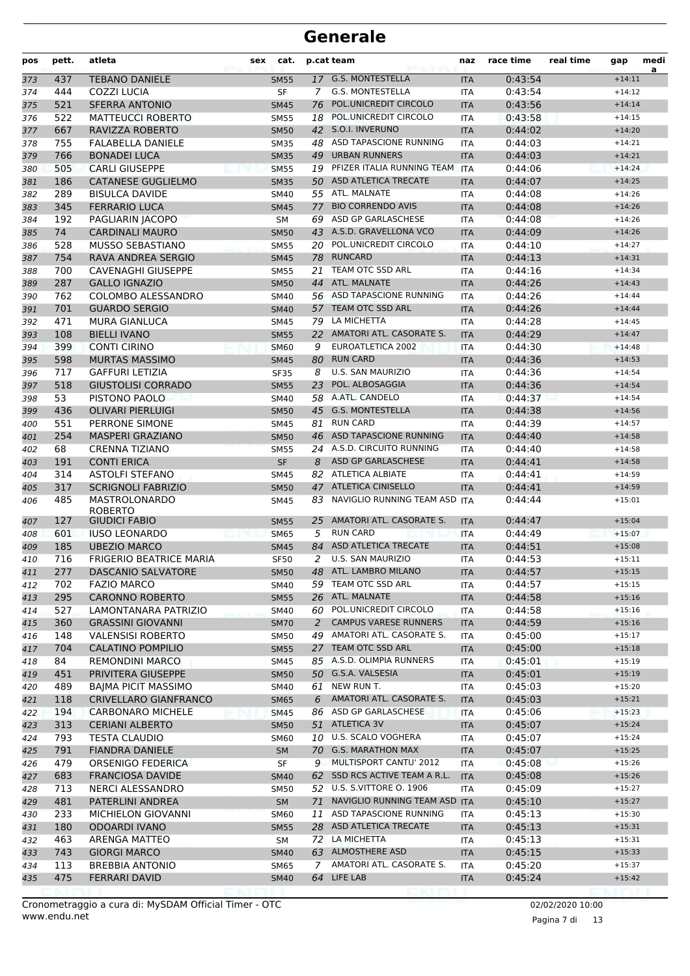| pos        | pett.     | atleta                                     | sex | cat.                       |                | p.cat team                                        | naz                      | race time          | real time | gap                  | medi<br>a |
|------------|-----------|--------------------------------------------|-----|----------------------------|----------------|---------------------------------------------------|--------------------------|--------------------|-----------|----------------------|-----------|
| 373        | 437       | <b>TEBANO DANIELE</b>                      |     | <b>SM55</b>                |                | 17 G.S. MONTESTELLA                               | <b>ITA</b>               | 0:43:54            |           | $+14:11$             |           |
| 374        | 444       | <b>COZZI LUCIA</b>                         |     | SF                         | 7              | G.S. MONTESTELLA                                  | <b>ITA</b>               | 0:43:54            |           | $+14:12$             |           |
| 375        | 521       | <b>SFERRA ANTONIO</b>                      |     | <b>SM45</b>                | 76             | POL.UNICREDIT CIRCOLO                             | <b>ITA</b>               | 0:43:56            |           | $+14:14$             |           |
| 376        | 522       | <b>MATTEUCCI ROBERTO</b>                   |     | <b>SM55</b>                | 18             | POL.UNICREDIT CIRCOLO                             | <b>ITA</b>               | 0:43:58            |           | $+14:15$             |           |
| 377        | 667       | RAVIZZA ROBERTO                            |     | <b>SM50</b>                |                | 42 S.O.I. INVERUNO                                | <b>ITA</b>               | 0:44:02            |           | $+14:20$             |           |
| 378        | 755       | <b>FALABELLA DANIELE</b>                   |     | <b>SM35</b>                |                | 48 ASD TAPASCIONE RUNNING                         | <b>ITA</b>               | 0:44:03            |           | $+14:21$             |           |
| 379        | 766       | <b>BONADEI LUCA</b>                        |     | <b>SM35</b>                | 49             | <b>URBAN RUNNERS</b>                              | <b>ITA</b>               | 0:44:03            |           | $+14:21$             |           |
| 380        | 505       | <b>CARLI GIUSEPPE</b>                      |     | <b>SM55</b>                |                | 19 PFIZER ITALIA RUNNING TEAM ITA                 |                          | 0:44:06            |           | $+14:24$             |           |
| 381        | 186       | <b>CATANESE GUGLIELMO</b>                  |     | <b>SM35</b>                |                | 50 ASD ATLETICA TRECATE                           | <b>ITA</b>               | 0:44:07            |           | $+14:25$             |           |
| 382        | 289       | <b>BISULCA DAVIDE</b>                      |     | <b>SM40</b>                |                | 55 ATL. MALNATE<br><b>BIO CORRENDO AVIS</b>       | <b>ITA</b>               | 0:44:08            |           | $+14:26$             |           |
| 383        | 345       | <b>FERRARIO LUCA</b>                       |     | <b>SM45</b>                | 77             |                                                   | <b>ITA</b>               | 0:44:08            |           | $+14:26$             |           |
| 384        | 192       | PAGLIARIN JACOPO                           |     | <b>SM</b>                  |                | 69 ASD GP GARLASCHESE<br>43 A.S.D. GRAVELLONA VCO | <b>ITA</b>               | 0:44:08            |           | $+14:26$             |           |
| 385        | 74<br>528 | <b>CARDINALI MAURO</b><br>MUSSO SEBASTIANO |     | <b>SM50</b>                |                | 20 POL.UNICREDIT CIRCOLO                          | <b>ITA</b>               | 0:44:09<br>0:44:10 |           | $+14:26$             |           |
| 386        | 754       | RAVA ANDREA SERGIO                         |     | <b>SM55</b>                | 78             | <b>RUNCARD</b>                                    | <b>ITA</b>               | 0:44:13            |           | $+14:27$<br>$+14:31$ |           |
| 387<br>388 | 700       | <b>CAVENAGHI GIUSEPPE</b>                  |     | <b>SM45</b><br><b>SM55</b> | 21             | TEAM OTC SSD ARL                                  | <b>ITA</b><br><b>ITA</b> | 0:44:16            |           | $+14:34$             |           |
| 389        | 287       | <b>GALLO IGNAZIO</b>                       |     | <b>SM50</b>                | 44             | ATL. MALNATE                                      | <b>ITA</b>               | 0:44:26            |           | $+14:43$             |           |
| 390        | 762       | COLOMBO ALESSANDRO                         |     | SM40                       |                | 56 ASD TAPASCIONE RUNNING                         | <b>ITA</b>               | 0:44:26            |           | $+14:44$             |           |
| 391        | 701       | <b>GUARDO SERGIO</b>                       |     | <b>SM40</b>                |                | 57 TEAM OTC SSD ARL                               | <b>ITA</b>               | 0:44:26            |           | $+14:44$             |           |
| 392        | 471       | <b>MURA GIANLUCA</b>                       |     | <b>SM45</b>                |                | 79 LA MICHETTA                                    | <b>ITA</b>               | 0:44:28            |           | $+14:45$             |           |
| 393        | 108       | <b>BIELLI IVANO</b>                        |     | <b>SM55</b>                |                | 22 AMATORI ATL. CASORATE S.                       | <b>ITA</b>               | 0:44:29            |           | $+14:47$             |           |
| 394        | 399       | <b>CONTI CIRINO</b>                        |     | <b>SM60</b>                | 9              | EUROATLETICA 2002                                 | <b>ITA</b>               | 0:44:30            |           | $+14:48$             |           |
| 395        | 598       | <b>MURTAS MASSIMO</b>                      |     | <b>SM45</b>                | 80             | <b>RUN CARD</b>                                   | <b>ITA</b>               | 0:44:36            |           | $+14:53$             |           |
| 396        | 717       | <b>GAFFURI LETIZIA</b>                     |     | <b>SF35</b>                | 8              | <b>U.S. SAN MAURIZIO</b>                          | <b>ITA</b>               | 0:44:36            |           | $+14:54$             |           |
| 397        | 518       | <b>GIUSTOLISI CORRADO</b>                  |     | <b>SM55</b>                | 23             | POL. ALBOSAGGIA                                   | <b>ITA</b>               | 0:44:36            |           | $+14:54$             |           |
| 398        | 53        | PISTONO PAOLO                              |     | SM40                       |                | 58 A.ATL. CANDELO                                 | ITA                      | 0:44:37            |           | $+14:54$             |           |
| 399        | 436       | <b>OLIVARI PIERLUIGI</b>                   |     | <b>SM50</b>                | 45             | <b>G.S. MONTESTELLA</b>                           | <b>ITA</b>               | 0:44:38            |           | $+14:56$             |           |
| 400        | 551       | PERRONE SIMONE                             |     | SM45                       | 81             | <b>RUN CARD</b>                                   | <b>ITA</b>               | 0:44:39            |           | $+14:57$             |           |
| 401        | 254       | <b>MASPERI GRAZIANO</b>                    |     | <b>SM50</b>                | 46             | ASD TAPASCIONE RUNNING                            | <b>ITA</b>               | 0:44:40            |           | $+14:58$             |           |
| 402        | 68        | <b>CRENNA TIZIANO</b>                      |     | <b>SM55</b>                |                | 24 A.S.D. CIRCUITO RUNNING                        | <b>ITA</b>               | 0:44:40            |           | $+14:58$             |           |
| 403        | 191       | <b>CONTI ERICA</b>                         |     | <b>SF</b>                  | 8              | ASD GP GARLASCHESE                                | <b>ITA</b>               | 0:44:41            |           | $+14:58$             |           |
| 404        | 314       | <b>ASTOLFI STEFANO</b>                     |     | SM45                       |                | 82 ATLETICA ALBIATE                               | ITA                      | 0:44:41            |           | $+14:59$             |           |
| 405        | 317       | <b>SCRIGNOLI FABRIZIO</b>                  |     | <b>SM50</b>                | 47             | <b>ATLETICA CINISELLO</b>                         | <b>ITA</b>               | 0:44:41            |           | $+14:59$             |           |
| 406        | 485       | MASTROLONARDO                              |     | <b>SM45</b>                | 83             | NAVIGLIO RUNNING TEAM ASD ITA                     |                          | 0:44:44            |           | $+15:01$             |           |
| 407        | 127       | <b>ROBERTO</b><br><b>GIUDICI FABIO</b>     |     | <b>SM55</b>                | 25             | AMATORI ATL. CASORATE S.                          | <b>ITA</b>               | 0:44:47            |           | $+15:04$             |           |
| 408        | 601       | <b>IUSO LEONARDO</b>                       |     | <b>SM65</b>                | 5              | <b>RUN CARD</b>                                   | <b>ITA</b>               | 0:44:49            |           | $+15:07$             |           |
| 409        | 185       | <b>UBEZIO MARCO</b>                        |     | <b>SM45</b>                |                | 84 ASD ATLETICA TRECATE                           | <b>ITA</b>               | 0:44:51            |           | $+15:08$             |           |
| 410        | 716       | <b>FRIGERIO BEATRICE MARIA</b>             |     | <b>SF50</b>                | 2              | <b>U.S. SAN MAURIZIO</b>                          | <b>ITA</b>               | 0:44:53            |           | $+15:11$             |           |
| 411        | 277       | DASCANIO SALVATORE                         |     | <b>SM50</b>                |                | 48 ATL. LAMBRO MILANO                             | $\sf ITA$                | 0:44:57            |           | $+15:15$             |           |
| 412        | 702       | <b>FAZIO MARCO</b>                         |     | SM40                       |                | 59 TEAM OTC SSD ARL                               | ITA                      | 0:44:57            |           | $+15:15$             |           |
| 413        | 295       | <b>CARONNO ROBERTO</b>                     |     | <b>SM55</b>                |                | 26 ATL. MALNATE                                   | <b>ITA</b>               | 0:44:58            |           | $+15:16$             |           |
| 414        | 527       | LAMONTANARA PATRIZIO                       |     | SM40                       |                | 60 POL.UNICREDIT CIRCOLO                          | ITA                      | 0:44:58            |           | $+15:16$             |           |
| 415        | 360       | <b>GRASSINI GIOVANNI</b>                   |     | <b>SM70</b>                | $\overline{2}$ | <b>CAMPUS VARESE RUNNERS</b>                      | <b>ITA</b>               | 0:44:59            |           | $+15:16$             |           |
| 416        | 148       | <b>VALENSISI ROBERTO</b>                   |     | <b>SM50</b>                |                | 49 AMATORI ATL. CASORATE S.                       | ITA                      | 0:45:00            |           | $+15:17$             |           |
| 417        | 704       | <b>CALATINO POMPILIO</b>                   |     | <b>SM55</b>                |                | 27 TEAM OTC SSD ARL                               | <b>ITA</b>               | 0:45:00            |           | $+15:18$             |           |
| 418        | 84        | REMONDINI MARCO                            |     | SM45                       |                | 85 A.S.D. OLIMPIA RUNNERS                         | ITA                      | 0:45:01            |           | $+15:19$             |           |
| 419        | 451       | PRIVITERA GIUSEPPE                         |     | <b>SM50</b>                |                | 50 G.S.A. VALSESIA                                | <b>ITA</b>               | 0:45:01            |           | $+15:19$             |           |
| 420        | 489       | <b>BAIMA PICIT MASSIMO</b>                 |     | SM40                       |                | 61 NEW RUN T.                                     | ITA                      | 0:45:03            |           | $+15:20$             |           |
| 421        | 118       | CRIVELLARO GIANFRANCO                      |     | SM65                       | 6              | AMATORI ATL. CASORATE S.                          | <b>ITA</b>               | 0:45:03            |           | $+15:21$             |           |
| 422        | 194       | <b>CARBONARO MICHELE</b>                   |     | <b>SM45</b>                |                | 86 ASD GP GARLASCHESE                             | ITA                      | 0:45:06            |           | $+15:23$             |           |
| 423        | 313       | <b>CERIANI ALBERTO</b>                     |     | <b>SM50</b>                |                | 51 ATLETICA 3V                                    | <b>ITA</b>               | 0:45:07            |           | $+15:24$             |           |
| 424        | 793       | <b>TESTA CLAUDIO</b>                       |     | <b>SM60</b>                |                | 10 U.S. SCALO VOGHERA                             | ITA                      | 0:45:07            |           | $+15:24$             |           |
| 425        | 791       | <b>FIANDRA DANIELE</b>                     |     | <b>SM</b>                  |                | 70 G.S. MARATHON MAX                              | <b>ITA</b>               | 0:45:07            |           | $+15:25$             |           |
| 426        | 479       | ORSENIGO FEDERICA                          |     | SF                         | 9              | MULTISPORT CANTU' 2012                            | ITA                      | 0:45:08            |           | $+15:26$             |           |
| 427        | 683       | <b>FRANCIOSA DAVIDE</b>                    |     | <b>SM40</b>                |                | 62 SSD RCS ACTIVE TEAM A R.L.                     | <b>ITA</b>               | 0:45:08            |           | $+15:26$             |           |
| 428        | 713       | NERCI ALESSANDRO                           |     | <b>SM50</b>                |                | 52 U.S. S.VITTORE O. 1906                         | ITA                      | 0:45:09            |           | $+15:27$             |           |
| 429        | 481       | PATERLINI ANDREA                           |     | SM                         |                | 71 NAVIGLIO RUNNING TEAM ASD ITA                  |                          | 0:45:10            |           | $+15:27$             |           |
| 430        | 233       | MICHIELON GIOVANNI                         |     | <b>SM60</b>                |                | 11 ASD TAPASCIONE RUNNING                         | ITA                      | 0:45:13            |           | $+15:30$             |           |
| 431        | 180       | <b>ODOARDI IVANO</b>                       |     | <b>SM55</b>                |                | 28 ASD ATLETICA TRECATE                           | <b>ITA</b>               | 0:45:13            |           | $+15:31$             |           |
| 432        | 463       | ARENGA MATTEO                              |     | SM                         |                | 72 LA MICHETTA                                    | ITA                      | 0:45:13            |           | $+15:31$             |           |
| 433        | 743       | <b>GIORGI MARCO</b>                        |     | <b>SM40</b>                |                | 63 ALMOSTHERE ASD                                 | <b>ITA</b>               | 0:45:15            |           | $+15:33$             |           |
| 434        | 113       | <b>BREBBIA ANTONIO</b>                     |     | SM65                       |                | 7 AMATORI ATL. CASORATE S.                        | <b>ITA</b>               | 0:45:20            |           | $+15:37$             |           |
| 435        | 475       | <b>FERRARI DAVID</b>                       |     | <b>SM40</b>                |                | 64 LIFE LAB                                       | <b>ITA</b>               | 0:45:24            |           | $+15:42$             |           |

Pagina 7 di 13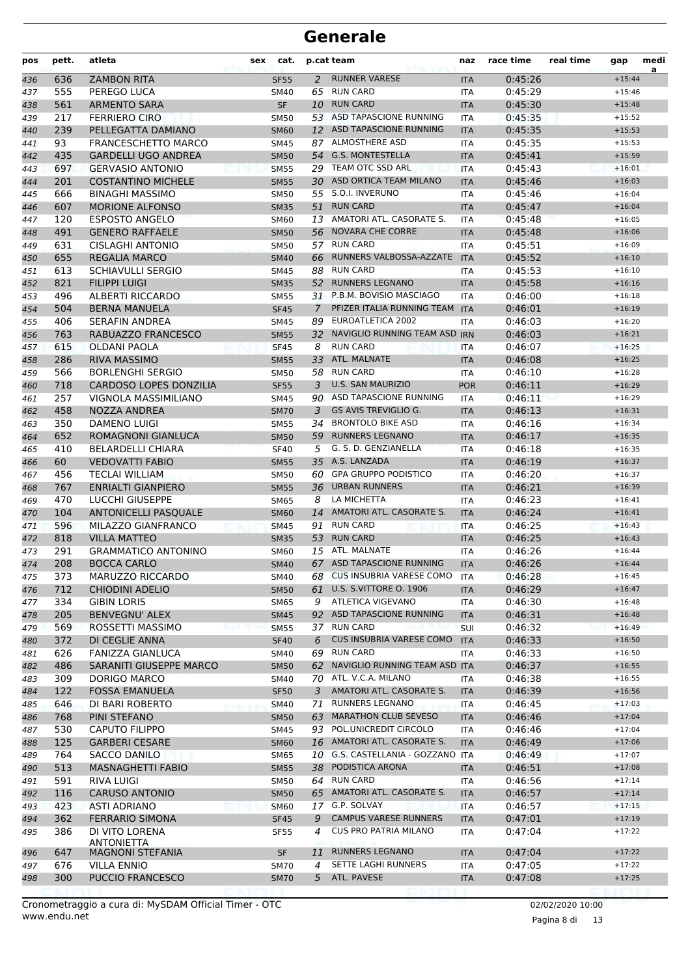| pos        | pett.      | atleta                                             | sex | cat.                       |                | p.cat team                                         | naz                      | race time          | real time | gap                  | medi<br>a |
|------------|------------|----------------------------------------------------|-----|----------------------------|----------------|----------------------------------------------------|--------------------------|--------------------|-----------|----------------------|-----------|
| 436        | 636        | <b>ZAMBON RITA</b>                                 |     | <b>SF55</b>                | $\overline{2}$ | <b>RUNNER VARESE</b>                               | <b>ITA</b>               | 0:45:26            |           | $+15:44$             |           |
| 437        | 555        | PEREGO LUCA                                        |     | SM40                       | 65             | <b>RUN CARD</b>                                    | <b>ITA</b>               | 0:45:29            |           | $+15:46$             |           |
| 438        | 561        | <b>ARMENTO SARA</b>                                |     | SF                         | 10             | <b>RUN CARD</b>                                    | <b>ITA</b>               | 0:45:30            |           | $+15:48$             |           |
| 439        | 217        | <b>FERRIERO CIRO</b>                               |     | <b>SM50</b>                |                | 53 ASD TAPASCIONE RUNNING                          | <b>ITA</b>               | 0:45:35            |           | $+15:52$             |           |
| 440        | 239        | PELLEGATTA DAMIANO                                 |     | <b>SM60</b>                | 12             | ASD TAPASCIONE RUNNING                             | <b>ITA</b>               | 0:45:35            |           | $+15:53$             |           |
| 441        | 93         | <b>FRANCESCHETTO MARCO</b>                         |     | <b>SM45</b>                |                | 87 ALMOSTHERE ASD                                  | <b>ITA</b>               | 0:45:35            |           | $+15:53$             |           |
| 442        | 435        | <b>GARDELLI UGO ANDREA</b>                         |     | <b>SM50</b>                |                | 54 G.S. MONTESTELLA                                | <b>ITA</b>               | 0:45:41            |           | $+15:59$             |           |
| 443        | 697        | <b>GERVASIO ANTONIO</b>                            |     | <b>SM55</b>                |                | 29 TEAM OTC SSD ARL                                | <b>ITA</b>               | 0:45:43            |           | $+16:01$             |           |
| 444        | 201        | <b>COSTANTINO MICHELE</b>                          |     | <b>SM55</b>                |                | 30 ASD ORTICA TEAM MILANO                          | <b>ITA</b>               | 0:45:46            |           | $+16:03$             |           |
| 445        | 666        | <b>BINAGHI MASSIMO</b>                             |     | <b>SM50</b>                | 55             | S.O.I. INVERUNO                                    | <b>ITA</b>               | 0:45:46            |           | $+16:04$             |           |
| 446        | 607        | <b>MORIONE ALFONSO</b>                             |     | <b>SM35</b>                | 51             | <b>RUN CARD</b>                                    | <b>ITA</b>               | 0:45:47            |           | $+16:04$             |           |
| 447        | 120        | <b>ESPOSTO ANGELO</b>                              |     | <b>SM60</b>                |                | 13 AMATORI ATL. CASORATE S.                        | <b>ITA</b>               | 0:45:48            |           | $+16:05$             |           |
| 448        | 491        | <b>GENERO RAFFAELE</b>                             |     | <b>SM50</b>                |                | 56 NOVARA CHE CORRE                                | <b>ITA</b>               | 0:45:48            |           | $+16:06$             |           |
| 449        | 631        | <b>CISLAGHI ANTONIO</b>                            |     | <b>SM50</b>                |                | 57 RUN CARD                                        | <b>ITA</b>               | 0:45:51            |           | $+16:09$             |           |
| 450        | 655        | <b>REGALIA MARCO</b>                               |     | <b>SM40</b>                | 66             | RUNNERS VALBOSSA-AZZATE                            | <b>ITA</b>               | 0:45:52            |           | $+16:10$             |           |
| 451        | 613        | <b>SCHIAVULLI SERGIO</b>                           |     | SM45                       | 88             | <b>RUN CARD</b>                                    | <b>ITA</b>               | 0:45:53            |           | $+16:10$             |           |
| 452        | 821        | <b>FILIPPI LUIGI</b>                               |     | <b>SM35</b>                | 52             | <b>RUNNERS LEGNANO</b>                             | <b>ITA</b>               | 0:45:58            |           | $+16:16$             |           |
| 453        | 496        | <b>ALBERTI RICCARDO</b>                            |     | <b>SM55</b>                |                | 31 P.B.M. BOVISIO MASCIAGO                         | <b>ITA</b>               | 0:46:00            |           | $+16:18$             |           |
| 454        | 504        | <b>BERNA MANUELA</b>                               |     | <b>SF45</b>                | $\mathcal{I}$  | PFIZER ITALIA RUNNING TEAM                         | <b>ITA</b>               | 0:46:01            |           | $+16:19$             |           |
| 455        | 406        | <b>SERAFIN ANDREA</b>                              |     | <b>SM45</b>                | 89             | EUROATLETICA 2002<br>NAVIGLIO RUNNING TEAM ASD IRN | <b>ITA</b>               | 0:46:03            |           | $+16:20$             |           |
| 456        | 763        | RABUAZZO FRANCESCO                                 |     | <b>SM55</b>                | 32             |                                                    |                          | 0:46:03            |           | $+16:21$             |           |
| 457        | 615        | <b>OLDANI PAOLA</b>                                |     | <b>SF45</b>                | 8              | <b>RUN CARD</b>                                    | ITA                      | 0:46:07            |           | $+16:25$             |           |
| 458        | 286        | <b>RIVA MASSIMO</b>                                |     | <b>SM55</b>                | 33             | ATL. MALNATE                                       | <b>ITA</b>               | 0:46:08            |           | $+16:25$             |           |
| 459        | 566        | <b>BORLENGHI SERGIO</b>                            |     | <b>SM50</b>                |                | 58 RUN CARD<br><b>U.S. SAN MAURIZIO</b>            | <b>ITA</b>               | 0:46:10            |           | $+16:28$             |           |
| 460        | 718        | <b>CARDOSO LOPES DONZILIA</b>                      |     | <b>SF55</b>                | 3              | 90 ASD TAPASCIONE RUNNING                          | <b>POR</b>               | 0:46:11            |           | $+16:29$             |           |
| 461        | 257        | VIGNOLA MASSIMILIANO                               |     | <b>SM45</b>                |                | <b>GS AVIS TREVIGLIO G.</b>                        | <b>ITA</b>               | 0:46:11            |           | $+16:29$             |           |
| 462        | 458        | NOZZA ANDREA                                       |     | <b>SM70</b>                | 3              | <b>BRONTOLO BIKE ASD</b>                           | <b>ITA</b>               | 0:46:13            |           | $+16:31$             |           |
| 463        | 350<br>652 | <b>DAMENO LUIGI</b><br>ROMAGNONI GIANLUCA          |     | <b>SM55</b>                | 34             | <b>RUNNERS LEGNANO</b>                             | <b>ITA</b>               | 0:46:16<br>0:46:17 |           | $+16:34$             |           |
| 464        | 410        |                                                    |     | <b>SM50</b>                | 59<br>5        | G. S. D. GENZIANELLA                               | <b>ITA</b>               |                    |           | $+16:35$             |           |
| 465        | 60         | <b>BELARDELLI CHIARA</b><br><b>VEDOVATTI FABIO</b> |     | <b>SF40</b>                |                | 35 A.S. LANZADA                                    | <b>ITA</b>               | 0:46:18            |           | $+16:35$<br>$+16:37$ |           |
| 466<br>467 | 456        | <b>TECLAI WILLIAM</b>                              |     | <b>SM55</b><br><b>SM50</b> |                | 60 GPA GRUPPO PODISTICO                            | <b>ITA</b><br><b>ITA</b> | 0:46:19<br>0:46:20 |           | $+16:37$             |           |
| 468        | 767        | <b>ENRIALTI GIANPIERO</b>                          |     | <b>SM55</b>                | 36             | <b>URBAN RUNNERS</b>                               | <b>ITA</b>               | 0:46:21            |           | $+16:39$             |           |
| 469        | 470        | <b>LUCCHI GIUSEPPE</b>                             |     | <b>SM65</b>                | 8              | LA MICHETTA                                        | <b>ITA</b>               | 0:46:23            |           | $+16:41$             |           |
| 470        | 104        | <b>ANTONICELLI PASQUALE</b>                        |     | <b>SM60</b>                | 14             | AMATORI ATL. CASORATE S.                           | <b>ITA</b>               | 0:46:24            |           | $+16:41$             |           |
| 471        | 596        | MILAZZO GIANFRANCO                                 |     | <b>SM45</b>                | 91             | <b>RUN CARD</b>                                    | <b>ITA</b>               | 0:46:25            |           | $+16:43$             |           |
| 472        | 818        | <b>VILLA MATTEO</b>                                |     | <b>SM35</b>                | 53             | <b>RUN CARD</b>                                    | <b>ITA</b>               | 0:46:25            |           | $+16:43$             |           |
| 473        | 291        | <b>GRAMMATICO ANTONINO</b>                         |     | <b>SM60</b>                | 15             | ATL. MALNATE                                       | <b>ITA</b>               | 0:46:26            |           | $+16:44$             |           |
| 474        | 208        | <b>BOCCA CARLO</b>                                 |     | <b>SM40</b>                |                | 67 ASD TAPASCIONE RUNNING                          | <b>ITA</b>               | 0:46:26            |           | $+16:44$             |           |
| 475        | 373        | MARUZZO RICCARDO                                   |     | SM40                       |                | 68 CUS INSUBRIA VARESE COMO                        | ITA                      | 0:46:28            |           | $+16:45$             |           |
| 476        | 712        | <b>CHIODINI ADELIO</b>                             |     | <b>SM50</b>                |                | 61 U.S. S.VITTORE O. 1906                          | <b>ITA</b>               | 0:46:29            |           | $+16:47$             |           |
| 477        | 334        | <b>GIBIN LORIS</b>                                 |     | SM65                       | 9              | ATLETICA VIGEVANO                                  | ITA                      | 0:46:30            |           | $+16:48$             |           |
| 478        | 205        | <b>BENVEGNU' ALEX</b>                              |     | <b>SM45</b>                |                | 92 ASD TAPASCIONE RUNNING                          | <b>ITA</b>               | 0:46:31            |           | $+16:48$             |           |
| 479        | 569        | ROSSETTI MASSIMO                                   |     | <b>SM55</b>                |                | 37 RUN CARD                                        | SUI                      | 0:46:32            |           | $+16:49$             |           |
| 480        | 372        | DI CEGLIE ANNA                                     |     | <b>SF40</b>                | 6              | <b>CUS INSUBRIA VARESE COMO</b>                    | <b>ITA</b>               | 0:46:33            |           | $+16:50$             |           |
| 481        | 626        | FANIZZA GIANLUCA                                   |     | SM40                       | 69             | <b>RUN CARD</b>                                    | ITA                      | 0:46:33            |           | $+16:50$             |           |
| 482        | 486        | SARANITI GIUSEPPE MARCO                            |     | <b>SM50</b>                |                | 62 NAVIGLIO RUNNING TEAM ASD ITA                   |                          | 0:46:37            |           | $+16:55$             |           |
| 483        | 309        | DORIGO MARCO                                       |     | SM40                       |                | 70 ATL. V.C.A. MILANO                              | ITA                      | 0:46:38            |           | $+16:55$             |           |
| 484        | 122        | <b>FOSSA EMANUELA</b>                              |     | <b>SF50</b>                |                | 3 AMATORI ATL. CASORATE S.                         | <b>ITA</b>               | 0:46:39            |           | $+16:56$             |           |
| 485        | 646        | DI BARI ROBERTO                                    |     | <b>SM40</b>                |                | 71 RUNNERS LEGNANO                                 | ITA                      | 0:46:45            |           | $+17:03$             |           |
| 486        | 768        | PINI STEFANO                                       |     | <b>SM50</b>                |                | 63 MARATHON CLUB SEVESO                            | <b>ITA</b>               | 0:46:46            |           | $+17:04$             |           |
| 487        | 530        | <b>CAPUTO FILIPPO</b>                              |     | SM45                       |                | 93 POL.UNICREDIT CIRCOLO                           | ITA                      | 0:46:46            |           | $+17:04$             |           |
| 488        | 125        | <b>GARBERI CESARE</b>                              |     | <b>SM60</b>                |                | 16 AMATORI ATL. CASORATE S.                        | <b>ITA</b>               | 0:46:49            |           | $+17:06$             |           |
| 489        | 764        | SACCO DANILO                                       |     | SM65                       |                | 10 G.S. CASTELLANIA - GOZZANO ITA                  |                          | 0:46:49            |           | $+17:07$             |           |
| 490        | 513        | <b>MASNAGHETTI FABIO</b>                           |     | <b>SM55</b>                |                | 38 PODISTICA ARONA                                 | <b>ITA</b>               | 0:46:51            |           | $+17:08$             |           |
| 491        | 591        | RIVA LUIGI                                         |     | <b>SM50</b>                |                | 64 RUN CARD                                        | ITA                      | 0:46:56            |           | $+17:14$             |           |
| 492        | 116        | <b>CARUSO ANTONIO</b>                              |     | <b>SM50</b>                |                | 65 AMATORI ATL. CASORATE S.                        | <b>ITA</b>               | 0:46:57            |           | $+17:14$             |           |
| 493        | 423        | <b>ASTI ADRIANO</b>                                |     | <b>SM60</b>                |                | 17 G.P. SOLVAY                                     | ITA                      | 0:46:57            |           | $+17:15$             |           |
| 494        | 362        | <b>FERRARIO SIMONA</b>                             |     | <b>SF45</b>                | 9              | <b>CAMPUS VARESE RUNNERS</b>                       | <b>ITA</b>               | 0:47:01            |           | $+17:19$             |           |
| 495        | 386        | DI VITO LORENA                                     |     | <b>SF55</b>                | 4              | <b>CUS PRO PATRIA MILANO</b>                       | ITA                      | 0:47:04            |           | $+17:22$             |           |
|            |            | ANTONIETTA                                         |     |                            |                |                                                    |                          |                    |           |                      |           |
| 496        | 647        | <b>MAGNONI STEFANIA</b>                            |     | <b>SF</b>                  | 11             | <b>RUNNERS LEGNANO</b>                             | <b>ITA</b>               | 0:47:04            |           | $+17:22$             |           |
| 497        | 676        | VILLA ENNIO                                        |     | <b>SM70</b>                | 4              | SETTE LAGHI RUNNERS<br>ATL. PAVESE                 | ITA                      | 0:47:05            |           | $+17:22$             |           |
| 498        | 300        | PUCCIO FRANCESCO                                   |     | <b>SM70</b>                | 5              |                                                    | <b>ITA</b>               | 0:47:08            |           | $+17:25$             |           |

Pagina 8 di 13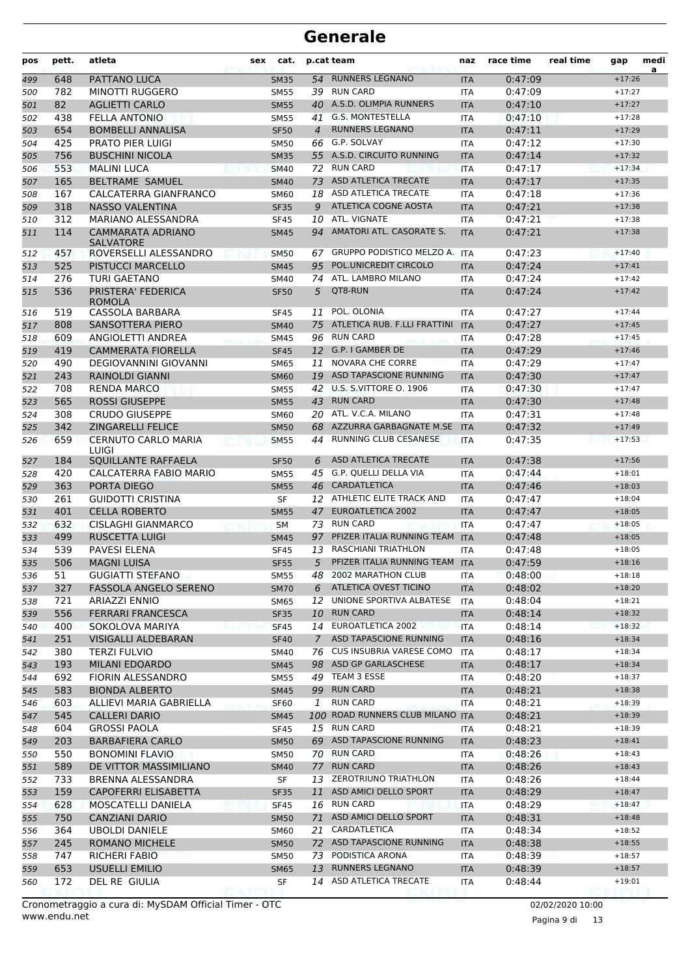| pos | pett. | atleta                                | sex | cat.        |             | p.cat team                       | naz        | race time | real time | gap      | medi<br>a |
|-----|-------|---------------------------------------|-----|-------------|-------------|----------------------------------|------------|-----------|-----------|----------|-----------|
| 499 | 648   | PATTANO LUCA                          |     | <b>SM35</b> |             | 54 RUNNERS LEGNANO               | <b>ITA</b> | 0:47:09   |           | $+17:26$ |           |
| 500 | 782   | <b>MINOTTI RUGGERO</b>                |     | <b>SM55</b> | 39          | <b>RUN CARD</b>                  | <b>ITA</b> | 0:47:09   |           | $+17:27$ |           |
| 501 | 82    | <b>AGLIETTI CARLO</b>                 |     | <b>SM55</b> | 40          | A.S.D. OLIMPIA RUNNERS           | <b>ITA</b> | 0:47:10   |           | $+17:27$ |           |
| 502 | 438   | <b>FELLA ANTONIO</b>                  |     | <b>SM55</b> | 41          | <b>G.S. MONTESTELLA</b>          | <b>ITA</b> | 0:47:10   |           | $+17:28$ |           |
| 503 | 654   | <b>BOMBELLI ANNALISA</b>              |     | <b>SF50</b> | 4           | <b>RUNNERS LEGNANO</b>           | <b>ITA</b> | 0:47:11   |           | $+17:29$ |           |
| 504 | 425   | <b>PRATO PIER LUIGI</b>               |     | <b>SM50</b> |             | 66 G.P. SOLVAY                   | <b>ITA</b> | 0:47:12   |           | $+17:30$ |           |
| 505 | 756   | <b>BUSCHINI NICOLA</b>                |     | <b>SM35</b> |             | 55 A.S.D. CIRCUITO RUNNING       | <b>ITA</b> | 0:47:14   |           | $+17:32$ |           |
| 506 | 553   | <b>MALINI LUCA</b>                    |     | <b>SM40</b> |             | 72 RUN CARD                      | <b>ITA</b> | 0:47:17   |           | $+17:34$ |           |
| 507 | 165   | <b>BELTRAME SAMUEL</b>                |     | <b>SM40</b> | 73          | ASD ATLETICA TRECATE             | <b>ITA</b> | 0:47:17   |           | $+17:35$ |           |
| 508 | 167   | CALCATERRA GIANFRANCO                 |     | SM60        | 18          | ASD ATLETICA TRECATE             | <b>ITA</b> | 0:47:18   |           | $+17:36$ |           |
| 509 | 318   | <b>NASSO VALENTINA</b>                |     | <b>SF35</b> | 9           | ATLETICA COGNE AOSTA             | <b>ITA</b> | 0:47:21   |           | $+17:38$ |           |
| 510 | 312   | MARIANO ALESSANDRA                    |     | <b>SF45</b> |             | 10 ATL. VIGNATE                  | ITA        | 0:47:21   |           | $+17:38$ |           |
| 511 | 114   | CAMMARATA ADRIANO<br><b>SALVATORE</b> |     | <b>SM45</b> | 94          | AMATORI ATL. CASORATE S.         | <b>ITA</b> | 0:47:21   |           | $+17:38$ |           |
| 512 | 457   | ROVERSELLI ALESSANDRO                 |     | <b>SM50</b> | 67          | GRUPPO PODISTICO MELZO A. ITA    |            | 0:47:23   |           | $+17:40$ |           |
| 513 | 525   | <b>PISTUCCI MARCELLO</b>              |     | <b>SM45</b> | 95          | POL.UNICREDIT CIRCOLO            | <b>ITA</b> | 0:47:24   |           | $+17:41$ |           |
| 514 | 276   | TURI GAETANO                          |     | SM40        | 74          | ATL. LAMBRO MILANO               | <b>ITA</b> | 0:47:24   |           | $+17:42$ |           |
| 515 | 536   | PRISTERA' FEDERICA<br><b>ROMOLA</b>   |     | <b>SF50</b> | 5           | QT8-RUN                          | <b>ITA</b> | 0:47:24   |           | $+17:42$ |           |
| 516 | 519   | CASSOLA BARBARA                       |     | <b>SF45</b> | 11          | POL. OLONIA                      | <b>ITA</b> | 0:47:27   |           | $+17:44$ |           |
| 517 | 808   | SANSOTTERA PIERO                      |     | <b>SM40</b> | 75          | ATLETICA RUB. F.LLI FRATTINI     | <b>ITA</b> | 0:47:27   |           | $+17:45$ |           |
| 518 | 609   | ANGIOLETTI ANDREA                     |     | SM45        |             | 96 RUN CARD                      | <b>ITA</b> | 0:47:28   |           | $+17:45$ |           |
| 519 | 419   | <b>CAMMERATA FIORELLA</b>             |     | <b>SF45</b> |             | 12 G.P. I GAMBER DE              | <b>ITA</b> | 0:47:29   |           | $+17:46$ |           |
| 520 | 490   | <b>DEGIOVANNINI GIOVANNI</b>          |     | <b>SM65</b> | 11          | <b>NOVARA CHE CORRE</b>          | <b>ITA</b> | 0:47:29   |           | $+17:47$ |           |
| 521 | 243   | <b>RAINOLDI GIANNI</b>                |     | <b>SM60</b> | 19          | <b>ASD TAPASCIONE RUNNING</b>    | <b>ITA</b> | 0:47:30   |           | $+17:47$ |           |
| 522 | 708   | <b>RENDA MARCO</b>                    |     | <b>SM55</b> | 42          | <b>U.S. S.VITTORE O. 1906</b>    | <b>ITA</b> | 0:47:30   |           | $+17:47$ |           |
| 523 | 565   | <b>ROSSI GIUSEPPE</b>                 |     | <b>SM55</b> | 43          | <b>RUN CARD</b>                  | <b>ITA</b> | 0:47:30   |           | $+17:48$ |           |
| 524 | 308   | <b>CRUDO GIUSEPPE</b>                 |     | <b>SM60</b> |             | 20 ATL. V.C.A. MILANO            | <b>ITA</b> | 0:47:31   |           | $+17:48$ |           |
| 525 | 342   | <b>ZINGARELLI FELICE</b>              |     | <b>SM50</b> |             | 68 AZZURRA GARBAGNATE M.SE       | <b>ITA</b> | 0:47:32   |           | $+17:49$ |           |
| 526 | 659   | <b>CERNUTO CARLO MARIA</b><br>LUIGI   |     | <b>SM55</b> | 44          | RUNNING CLUB CESANESE            | <b>ITA</b> | 0:47:35   |           | $+17:53$ |           |
| 527 | 184   | SQUILLANTE RAFFAELA                   |     | <b>SF50</b> | 6           | <b>ASD ATLETICA TRECATE</b>      | <b>ITA</b> | 0:47:38   |           | $+17:56$ |           |
| 528 | 420   | CALCATERRA FABIO MARIO                |     | <b>SM55</b> | 45          | G.P. QUELLI DELLA VIA            | <b>ITA</b> | 0:47:44   |           | $+18:01$ |           |
| 529 | 363   | PORTA DIEGO                           |     | <b>SM55</b> | 46          | <b>CARDATLETICA</b>              | <b>ITA</b> | 0:47:46   |           | $+18:03$ |           |
| 530 | 261   | <b>GUIDOTTI CRISTINA</b>              |     | <b>SF</b>   |             | 12 ATHLETIC ELITE TRACK AND      | <b>ITA</b> | 0:47:47   |           | $+18:04$ |           |
| 531 | 401   | <b>CELLA ROBERTO</b>                  |     | <b>SM55</b> | 47          | <b>EUROATLETICA 2002</b>         | <b>ITA</b> | 0:47:47   |           | $+18:05$ |           |
| 532 | 632   | <b>CISLAGHI GIANMARCO</b>             |     | <b>SM</b>   |             | 73 RUN CARD                      | <b>ITA</b> | 0:47:47   |           | $+18:05$ |           |
| 533 | 499   | <b>RUSCETTA LUIGI</b>                 |     | <b>SM45</b> | 97          | PFIZER ITALIA RUNNING TEAM       | <b>ITA</b> | 0:47:48   |           | $+18:05$ |           |
| 534 | 539   | PAVESI ELENA                          |     | <b>SF45</b> | 13          | <b>RASCHIANI TRIATHLON</b>       | <b>ITA</b> | 0:47:48   |           | $+18:05$ |           |
| 535 | 506   | <b>MAGNI LUISA</b>                    |     | <b>SF55</b> | 5           | PFIZER ITALIA RUNNING TEAM       | <b>ITA</b> | 0:47:59   |           | $+18:16$ |           |
| 536 | 51    | <b>GUGIATTI STEFANO</b>               |     | <b>SM55</b> |             | 48 2002 MARATHON CLUB            | <b>ITA</b> | 0:48:00   |           | $+18:18$ |           |
| 537 | 327   | <b>FASSOLA ANGELO SERENO</b>          |     | <b>SM70</b> | 6           | <b>ATLETICA OVEST TICINO</b>     | <b>ITA</b> | 0:48:02   |           | $+18:20$ |           |
| 538 | 721   | ARIAZZI ENNIO                         |     | <b>SM65</b> |             | 12 UNIONE SPORTIVA ALBATESE      | <b>ITA</b> | 0:48:04   |           | $+18:21$ |           |
| 539 | 556   | <b>FERRARI FRANCESCA</b>              |     | <b>SF35</b> |             | 10 RUN CARD                      | <b>ITA</b> | 0:48:14   |           | $+18:32$ |           |
| 540 | 400   | SOKOLOVA MARIYA                       |     | <b>SF45</b> | 14          | EUROATLETICA 2002                | ITA        | 0:48:14   |           | $+18:32$ |           |
| 541 | 251   | <b>VISIGALLI ALDEBARAN</b>            |     | <b>SF40</b> | $7^{\circ}$ | ASD TAPASCIONE RUNNING           | <b>ITA</b> | 0:48:16   |           | $+18:34$ |           |
| 542 | 380   | TERZI FULVIO                          |     | SM40        |             | 76 CUS INSUBRIA VARESE COMO      | ITA        | 0:48:17   |           | $+18:34$ |           |
| 543 | 193   | <b>MILANI EDOARDO</b>                 |     | <b>SM45</b> |             | 98 ASD GP GARLASCHESE            | <b>ITA</b> | 0:48:17   |           | $+18:34$ |           |
| 544 | 692   | FIORIN ALESSANDRO                     |     | <b>SM55</b> |             | 49 TEAM 3 ESSE                   | ITA        | 0:48:20   |           | $+18:37$ |           |
| 545 | 583   | <b>BIONDA ALBERTO</b>                 |     | <b>SM45</b> |             | 99 RUN CARD                      | <b>ITA</b> | 0:48:21   |           | $+18:38$ |           |
| 546 | 603   | ALLIEVI MARIA GABRIELLA               |     | <b>SF60</b> | 1           | <b>RUN CARD</b>                  | ITA        | 0:48:21   |           | $+18:39$ |           |
| 547 | 545   | <b>CALLERI DARIO</b>                  |     | <b>SM45</b> |             | 100 ROAD RUNNERS CLUB MILANO ITA |            | 0:48:21   |           | $+18:39$ |           |
| 548 | 604   | <b>GROSSI PAOLA</b>                   |     | <b>SF45</b> |             | 15 RUN CARD                      | ITA        | 0:48:21   |           | $+18:39$ |           |
| 549 | 203   | <b>BARBAFIERA CARLO</b>               |     | <b>SM50</b> |             | 69 ASD TAPASCIONE RUNNING        | <b>ITA</b> | 0:48:23   |           | $+18:41$ |           |
| 550 | 550   | <b>BONOMINI FLAVIO</b>                |     | <b>SM50</b> |             | 70 RUN CARD                      | ITA        | 0:48:26   |           | $+18:43$ |           |
| 551 | 589   | DE VITTOR MASSIMILIANO                |     | <b>SM40</b> | 77          | <b>RUN CARD</b>                  | <b>ITA</b> | 0:48:26   |           | $+18:43$ |           |
| 552 | 733   | BRENNA ALESSANDRA                     |     | SF          | 13          | ZEROTRIUNO TRIATHLON             | ITA        | 0:48:26   |           | $+18:44$ |           |
| 553 | 159   | CAPOFERRI ELISABETTA                  |     | <b>SF35</b> | 11          | ASD AMICI DELLO SPORT            | <b>ITA</b> | 0:48:29   |           | $+18:47$ |           |
| 554 | 628   | MOSCATELLI DANIELA                    |     | <b>SF45</b> |             | 16 RUN CARD                      | ITA        | 0:48:29   |           | $+18:47$ |           |
| 555 | 750   | <b>CANZIANI DARIO</b>                 |     | <b>SM50</b> | 71          | ASD AMICI DELLO SPORT            | <b>ITA</b> | 0:48:31   |           | $+18:48$ |           |
| 556 | 364   | <b>UBOLDI DANIELE</b>                 |     | <b>SM60</b> |             | 21 CARDATLETICA                  | ITA        | 0:48:34   |           | $+18:52$ |           |
| 557 | 245   | <b>ROMANO MICHELE</b>                 |     | <b>SM50</b> |             | 72 ASD TAPASCIONE RUNNING        | <b>ITA</b> | 0:48:38   |           | $+18:55$ |           |
| 558 | 747   | <b>RICHERI FABIO</b>                  |     | SM50        |             | 73 PODISTICA ARONA               | ITA        | 0:48:39   |           | $+18:57$ |           |
| 559 | 653   | <b>USUELLI EMILIO</b>                 |     | <b>SM65</b> | 13          | <b>RUNNERS LEGNANO</b>           | <b>ITA</b> | 0:48:39   |           | $+18:57$ |           |
| 560 | 172   | DEL RE GIULIA                         |     | SF          |             | 14 ASD ATLETICA TRECATE          | ITA        | 0:48:44   |           | $+19:01$ |           |

www.endu.net Cronometraggio a cura di: MySDAM Official Timer - OTC 02/02/2020 10:00

Pagina 9 di 13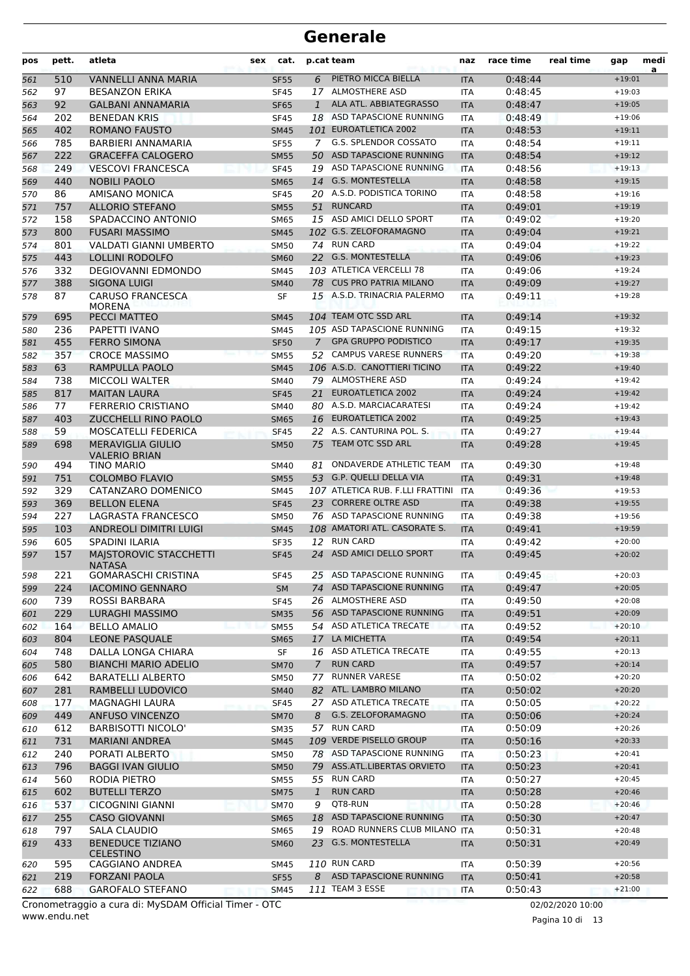| pos | pett. | atleta                                      | sex | cat.        |                | p.cat team                       | naz        | race time | real time | gap      | medi<br>a |
|-----|-------|---------------------------------------------|-----|-------------|----------------|----------------------------------|------------|-----------|-----------|----------|-----------|
| 561 | 510   | <b>VANNELLI ANNA MARIA</b>                  |     | <b>SF55</b> | 6              | PIETRO MICCA BIELLA              | <b>ITA</b> | 0:48:44   |           | $+19:01$ |           |
| 562 | 97    | <b>BESANZON ERIKA</b>                       |     | <b>SF45</b> |                | 17 ALMOSTHERE ASD                | <b>ITA</b> | 0:48:45   |           | $+19:03$ |           |
| 563 | 92    | <b>GALBANI ANNAMARIA</b>                    |     | <b>SF65</b> | 1              | ALA ATL. ABBIATEGRASSO           | <b>ITA</b> | 0:48:47   |           | $+19:05$ |           |
| 564 | 202   | <b>BENEDAN KRIS</b>                         |     | <b>SF45</b> |                | 18 ASD TAPASCIONE RUNNING        | <b>ITA</b> | 0:48:49   |           | $+19:06$ |           |
| 565 | 402   | <b>ROMANO FAUSTO</b>                        |     | <b>SM45</b> |                | 101 EUROATLETICA 2002            | <b>ITA</b> | 0:48:53   |           | $+19:11$ |           |
| 566 | 785   | BARBIERI ANNAMARIA                          |     | <b>SF55</b> |                | 7 G.S. SPLENDOR COSSATO          | ITA        | 0:48:54   |           | $+19:11$ |           |
| 567 | 222   | <b>GRACEFFA CALOGERO</b>                    |     | <b>SM55</b> |                | 50 ASD TAPASCIONE RUNNING        | <b>ITA</b> | 0:48:54   |           | $+19:12$ |           |
| 568 | 249   | <b>VESCOVI FRANCESCA</b>                    |     | <b>SF45</b> |                | 19 ASD TAPASCIONE RUNNING        | <b>ITA</b> | 0:48:56   |           | $+19:13$ |           |
| 569 | 440   | <b>NOBILI PAOLO</b>                         |     | <b>SM65</b> | 14             | <b>G.S. MONTESTELLA</b>          | <b>ITA</b> | 0:48:58   |           | $+19:15$ |           |
| 570 | 86    | <b>AMISANO MONICA</b>                       |     | <b>SF45</b> |                | 20 A.S.D. PODISTICA TORINO       | <b>ITA</b> | 0:48:58   |           | $+19:16$ |           |
| 571 | 757   | <b>ALLORIO STEFANO</b>                      |     | <b>SM55</b> | 51             | <b>RUNCARD</b>                   | <b>ITA</b> | 0:49:01   |           | $+19:19$ |           |
|     |       |                                             |     |             |                | 15 ASD AMICI DELLO SPORT         |            |           |           | $+19:20$ |           |
| 572 | 158   | SPADACCINO ANTONIO                          |     | SM65        |                | 102 G.S. ZELOFORAMAGNO           | ITA        | 0:49:02   |           |          |           |
| 573 | 800   | <b>FUSARI MASSIMO</b>                       |     | <b>SM45</b> |                |                                  | <b>ITA</b> | 0:49:04   |           | $+19:21$ |           |
| 574 | 801   | <b>VALDATI GIANNI UMBERTO</b>               |     | <b>SM50</b> |                | 74 RUN CARD                      | <b>ITA</b> | 0:49:04   |           | $+19:22$ |           |
| 575 | 443   | LOLLINI RODOLFO                             |     | <b>SM60</b> |                | 22 G.S. MONTESTELLA              | <b>ITA</b> | 0:49:06   |           | $+19:23$ |           |
| 576 | 332   | <b>DEGIOVANNI EDMONDO</b>                   |     | <b>SM45</b> |                | 103 ATLETICA VERCELLI 78         | <b>ITA</b> | 0:49:06   |           | $+19:24$ |           |
| 577 | 388   | <b>SIGONA LUIGI</b>                         |     | <b>SM40</b> |                | 78 CUS PRO PATRIA MILANO         | <b>ITA</b> | 0:49:09   |           | $+19:27$ |           |
| 578 | 87    | <b>CARUSO FRANCESCA</b><br><b>MORENA</b>    |     | <b>SF</b>   |                | 15 A.S.D. TRINACRIA PALERMO      | <b>ITA</b> | 0:49:11   |           | $+19:28$ |           |
| 579 | 695   | PECCI MATTEO                                |     | <b>SM45</b> |                | 104 TEAM OTC SSD ARL             | <b>ITA</b> | 0:49:14   |           | $+19:32$ |           |
| 580 | 236   | PAPETTI IVANO                               |     | <b>SM45</b> |                | 105 ASD TAPASCIONE RUNNING       | <b>ITA</b> | 0:49:15   |           | $+19:32$ |           |
| 581 | 455   | <b>FERRO SIMONA</b>                         |     | <b>SF50</b> | $\overline{7}$ | <b>GPA GRUPPO PODISTICO</b>      | <b>ITA</b> | 0:49:17   |           | $+19:35$ |           |
| 582 | 357   | <b>CROCE MASSIMO</b>                        |     | <b>SM55</b> | 52             | <b>CAMPUS VARESE RUNNERS</b>     | <b>ITA</b> | 0:49:20   |           | $+19:38$ |           |
| 583 | 63    | <b>RAMPULLA PAOLO</b>                       |     | <b>SM45</b> |                | 106 A.S.D. CANOTTIERI TICINO     | <b>ITA</b> | 0:49:22   |           | $+19:40$ |           |
| 584 | 738   | <b>MICCOLI WALTER</b>                       |     | SM40        |                | 79 ALMOSTHERE ASD                | <b>ITA</b> | 0:49:24   |           | $+19:42$ |           |
| 585 | 817   | <b>MAITAN LAURA</b>                         |     | <b>SF45</b> | 21             | <b>EUROATLETICA 2002</b>         | <b>ITA</b> | 0:49:24   |           | $+19:42$ |           |
| 586 | 77    | <b>FERRERIO CRISTIANO</b>                   |     | <b>SM40</b> |                | 80 A.S.D. MARCIACARATESI         | <b>ITA</b> | 0:49:24   |           | $+19:42$ |           |
| 587 | 403   | ZUCCHELLI RINO PAOLO                        |     | <b>SM65</b> |                | 16 EUROATLETICA 2002             | <b>ITA</b> | 0:49:25   |           | $+19:43$ |           |
| 588 | 59    | <b>MOSCATELLI FEDERICA</b>                  |     | <b>SF45</b> |                | 22 A.S. CANTURINA POL. S.        | <b>ITA</b> | 0:49:27   |           | $+19:44$ |           |
| 589 | 698   | <b>MERAVIGLIA GIULIO</b>                    |     | <b>SM50</b> | 75             | TEAM OTC SSD ARL                 | <b>ITA</b> | 0:49:28   |           | $+19:45$ |           |
| 590 | 494   | <b>VALERIO BRIAN</b><br>TINO MARIO          |     | <b>SM40</b> | 81             | ONDAVERDE ATHLETIC TEAM          | <b>ITA</b> | 0:49:30   |           | $+19:48$ |           |
|     |       |                                             |     |             |                | 53 G.P. QUELLI DELLA VIA         |            |           |           | $+19:48$ |           |
| 591 | 751   | <b>COLOMBO FLAVIO</b>                       |     | <b>SM55</b> |                | 107 ATLETICA RUB. F.LLI FRATTINI | <b>ITA</b> | 0:49:31   |           |          |           |
| 592 | 329   | CATANZARO DOMENICO                          |     | <b>SM45</b> |                |                                  | <b>ITA</b> | 0:49:36   |           | $+19:53$ |           |
| 593 | 369   | <b>BELLON ELENA</b>                         |     | <b>SF45</b> |                | 23 CORRERE OLTRE ASD             | <b>ITA</b> | 0:49:38   |           | $+19:55$ |           |
| 594 | 227   | LAGRASTA FRANCESCO                          |     | SM50        |                | 76 ASD TAPASCIONE RUNNING        | ITA        | 0:49:38   |           | $+19:56$ |           |
| 595 | 103   | <b>ANDREOLI DIMITRI LUIGI</b>               |     | <b>SM45</b> |                | 108 AMATORI ATL. CASORATE S.     | <b>ITA</b> | 0:49:41   |           | $+19:59$ |           |
| 596 | 605   | <b>SPADINI ILARIA</b>                       |     | <b>SF35</b> | 12             | <b>RUN CARD</b>                  | <b>ITA</b> | 0:49:42   |           | $+20:00$ |           |
| 597 | 157   | MAJSTOROVIC STACCHETTI<br><b>NATASA</b>     |     | <b>SF45</b> | 24             | ASD AMICI DELLO SPORT            | <b>ITA</b> | 0:49:45   |           | $+20:02$ |           |
| 598 | 221   | <b>GOMARASCHI CRISTINA</b>                  |     | <b>SF45</b> |                | 25 ASD TAPASCIONE RUNNING        | ITA        | 0:49:45   |           | $+20:03$ |           |
| 599 | 224   | <b>IACOMINO GENNARO</b>                     |     | <b>SM</b>   |                | 74 ASD TAPASCIONE RUNNING        | <b>ITA</b> | 0:49:47   |           | $+20:05$ |           |
| 600 | 739   | <b>ROSSI BARBARA</b>                        |     | <b>SF45</b> |                | 26 ALMOSTHERE ASD                | <b>ITA</b> | 0:49:50   |           | $+20:08$ |           |
| 601 | 229   | <b>LURAGHI MASSIMO</b>                      |     | <b>SM35</b> |                | 56 ASD TAPASCIONE RUNNING        | <b>ITA</b> | 0:49:51   |           | $+20:09$ |           |
| 602 | 164   | <b>BELLO AMALIO</b>                         |     | <b>SM55</b> |                | 54 ASD ATLETICA TRECATE          | ITA        | 0:49:52   |           | $+20:10$ |           |
| 603 | 804   | LEONE PASQUALE                              |     | <b>SM65</b> | 17             | LA MICHETTA                      | <b>ITA</b> | 0:49:54   |           | $+20:11$ |           |
| 604 | 748   | DALLA LONGA CHIARA                          |     | SF          |                | 16 ASD ATLETICA TRECATE          | ITA        | 0:49:55   |           | $+20:13$ |           |
| 605 | 580   | <b>BIANCHI MARIO ADELIO</b>                 |     | <b>SM70</b> | $\mathcal{I}$  | <b>RUN CARD</b>                  | <b>ITA</b> | 0:49:57   |           | $+20:14$ |           |
| 606 | 642   | <b>BARATELLI ALBERTO</b>                    |     | <b>SM50</b> |                | 77 RUNNER VARESE                 | <b>ITA</b> | 0:50:02   |           | $+20:20$ |           |
| 607 | 281   | RAMBELLI LUDOVICO                           |     | <b>SM40</b> |                | 82 ATL. LAMBRO MILANO            | <b>ITA</b> | 0:50:02   |           | $+20:20$ |           |
| 608 | 177   | <b>MAGNAGHI LAURA</b>                       |     | <b>SF45</b> |                | 27 ASD ATLETICA TRECATE          | ITA        | 0:50:05   |           | $+20:22$ |           |
| 609 | 449   | <b>ANFUSO VINCENZO</b>                      |     | <b>SM70</b> | 8              | G.S. ZELOFORAMAGNO               | <b>ITA</b> | 0:50:06   |           | $+20:24$ |           |
| 610 | 612   | <b>BARBISOTTI NICOLO'</b>                   |     | SM35        |                | 57 RUN CARD                      | ITA        | 0:50:09   |           | $+20:26$ |           |
| 611 | 731   | <b>MARIANI ANDREA</b>                       |     | <b>SM45</b> |                | 109 VERDE PISELLO GROUP          | <b>ITA</b> | 0:50:16   |           | $+20:33$ |           |
| 612 | 240   | PORATI ALBERTO                              |     | <b>SM50</b> |                | 78 ASD TAPASCIONE RUNNING        | <b>ITA</b> | 0:50:23   |           | $+20:41$ |           |
| 613 | 796   | <b>BAGGI IVAN GIULIO</b>                    |     | <b>SM50</b> |                | 79 ASS.ATL.LIBERTAS ORVIETO      | <b>ITA</b> | 0:50:23   |           | $+20:41$ |           |
| 614 | 560   | RODIA PIETRO                                |     | SM55        |                | 55 RUN CARD                      | ITA        | 0:50:27   |           | $+20:45$ |           |
|     |       |                                             |     |             |                | <b>RUN CARD</b>                  |            |           |           |          |           |
| 615 | 602   | <b>BUTELLI TERZO</b>                        |     | <b>SM75</b> | $\mathbf{1}$   | QT8-RUN                          | <b>ITA</b> | 0:50:28   |           | $+20:46$ |           |
| 616 | 537   | <b>CICOGNINI GIANNI</b>                     |     | <b>SM70</b> | 9              |                                  | ITA        | 0:50:28   |           | $+20:46$ |           |
| 617 | 255   | <b>CASO GIOVANNI</b>                        |     | <b>SM65</b> |                | 18 ASD TAPASCIONE RUNNING        | <b>ITA</b> | 0:50:30   |           | $+20:47$ |           |
| 618 | 797   | <b>SALA CLAUDIO</b>                         |     | SM65        |                | 19 ROAD RUNNERS CLUB MILANO ITA  |            | 0:50:31   |           | $+20:48$ |           |
| 619 | 433   | <b>BENEDUCE TIZIANO</b><br><b>CELESTINO</b> |     | <b>SM60</b> | 23             | <b>G.S. MONTESTELLA</b>          | <b>ITA</b> | 0:50:31   |           | $+20:49$ |           |
| 620 | 595   | CAGGIANO ANDREA                             |     | SM45        |                | 110 RUN CARD                     | ITA        | 0:50:39   |           | $+20:56$ |           |
| 621 | 219   | <b>FORZANI PAOLA</b>                        |     | <b>SF55</b> | 8              | ASD TAPASCIONE RUNNING           | <b>ITA</b> | 0:50:41   |           | $+20:58$ |           |
| 622 | 688   | <b>GAROFALO STEFANO</b>                     |     | <b>SM45</b> |                | 111 TEAM 3 ESSE                  | ITA        | 0:50:43   |           | $+21:00$ |           |

www.endu.net Cronometraggio a cura di: MySDAM Official Timer - OTC 02/02/2020 10:00

Pagina 10 di 13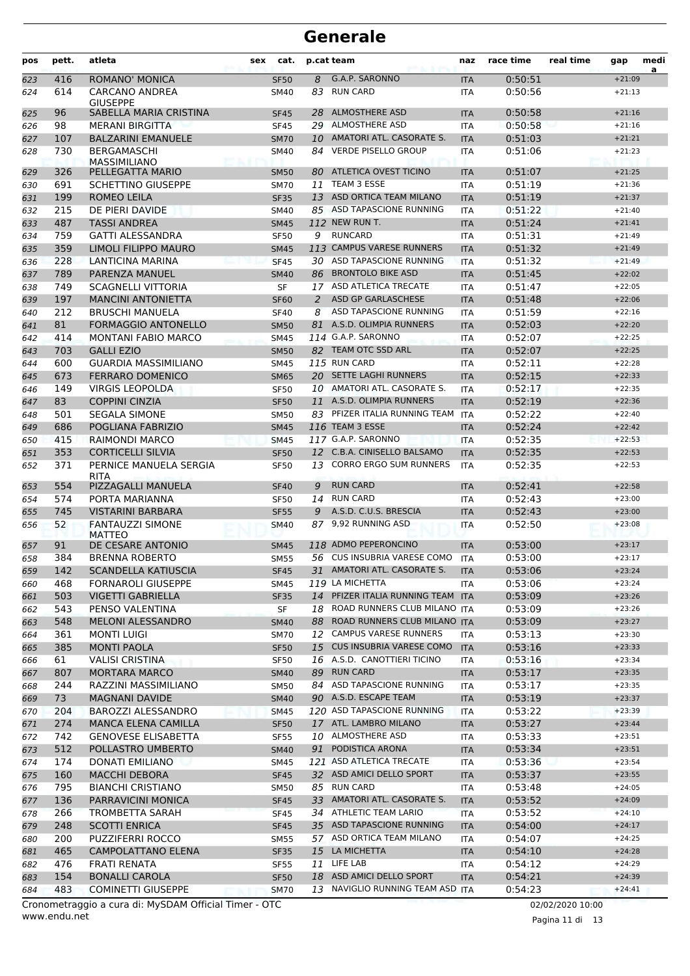| pos | pett. | atleta                            | cat.<br>sex |    | p.cat team                        | naz        | race time | real time | gap      | medi<br>a |
|-----|-------|-----------------------------------|-------------|----|-----------------------------------|------------|-----------|-----------|----------|-----------|
| 623 | 416   | <b>ROMANO' MONICA</b>             | <b>SF50</b> | 8  | G.A.P. SARONNO                    | <b>ITA</b> | 0:50:51   |           | $+21:09$ |           |
| 624 | 614   | CARCANO ANDREA                    | SM40        | 83 | <b>RUN CARD</b>                   | ITA        | 0:50:56   |           | $+21:13$ |           |
|     |       | <b>GIUSEPPE</b>                   |             |    |                                   |            |           |           |          |           |
| 625 | 96    | SABELLA MARIA CRISTINA            | <b>SF45</b> | 28 | <b>ALMOSTHERE ASD</b>             | <b>ITA</b> | 0:50:58   |           | $+21:16$ |           |
| 626 | 98    | <b>MERANI BIRGITTA</b>            | <b>SF45</b> |    | 29 ALMOSTHERE ASD                 | <b>ITA</b> | 0:50:58   |           | $+21:16$ |           |
| 627 | 107   | <b>BALZARINI EMANUELE</b>         | <b>SM70</b> |    | 10 AMATORI ATL. CASORATE S.       | <b>ITA</b> | 0:51:03   |           | $+21:21$ |           |
| 628 | 730   | <b>BERGAMASCHI</b>                | SM40        | 84 | <b>VERDE PISELLO GROUP</b>        | <b>ITA</b> | 0:51:06   |           | $+21:23$ |           |
| 629 | 326   | MASSIMILIANO<br>PELLEGATTA MARIO  | <b>SM50</b> | 80 | ATLETICA OVEST TICINO             | <b>ITA</b> | 0:51:07   |           | $+21:25$ |           |
| 630 | 691   | <b>SCHETTINO GIUSEPPE</b>         | <b>SM70</b> | 11 | TEAM 3 ESSE                       | <b>ITA</b> | 0:51:19   |           | $+21:36$ |           |
| 631 | 199   | ROMEO LEILA                       | <b>SF35</b> | 13 | <b>ASD ORTICA TEAM MILANO</b>     | <b>ITA</b> | 0:51:19   |           | $+21:37$ |           |
| 632 | 215   | DE PIERI DAVIDE                   | SM40        |    | 85 ASD TAPASCIONE RUNNING         | <b>ITA</b> | 0:51:22   |           | $+21:40$ |           |
| 633 | 487   | <b>TASSI ANDREA</b>               | <b>SM45</b> |    | 112 NEW RUN T.                    | <b>ITA</b> | 0:51:24   |           | $+21:41$ |           |
| 634 | 759   | <b>GATTI ALESSANDRA</b>           | <b>SF50</b> | 9  | <b>RUNCARD</b>                    | <b>ITA</b> | 0:51:31   |           | $+21:49$ |           |
| 635 | 359   | LIMOLI FILIPPO MAURO              | <b>SM45</b> |    | 113 CAMPUS VARESE RUNNERS         | <b>ITA</b> | 0:51:32   |           | $+21:49$ |           |
| 636 | 228   | LANTICINA MARINA                  | <b>SF45</b> |    | 30 ASD TAPASCIONE RUNNING         | <b>ITA</b> | 0:51:32   |           | $+21:49$ |           |
| 637 | 789   | PARENZA MANUEL                    | <b>SM40</b> | 86 | <b>BRONTOLO BIKE ASD</b>          | <b>ITA</b> | 0:51:45   |           | $+22:02$ |           |
| 638 | 749   | <b>SCAGNELLI VITTORIA</b>         | SF          | 17 | ASD ATLETICA TRECATE              | <b>ITA</b> | 0:51:47   |           | $+22:05$ |           |
| 639 | 197   | <b>MANCINI ANTONIETTA</b>         | <b>SF60</b> | 2  | ASD GP GARLASCHESE                | <b>ITA</b> | 0:51:48   |           | $+22:06$ |           |
| 640 | 212   | <b>BRUSCHI MANUELA</b>            | <b>SF40</b> | 8  | ASD TAPASCIONE RUNNING            | <b>ITA</b> | 0:51:59   |           | $+22:16$ |           |
|     | 81    | <b>FORMAGGIO ANTONELLO</b>        |             | 81 | A.S.D. OLIMPIA RUNNERS            |            | 0:52:03   |           | $+22:20$ |           |
| 641 |       |                                   | <b>SM50</b> |    | 114 G.A.P. SARONNO                | <b>ITA</b> |           |           |          |           |
| 642 | 414   | <b>MONTANI FABIO MARCO</b>        | <b>SM45</b> |    | 82 TEAM OTC SSD ARL               | <b>ITA</b> | 0:52:07   |           | $+22:25$ |           |
| 643 | 703   | <b>GALLI EZIO</b>                 | <b>SM50</b> |    |                                   | <b>ITA</b> | 0:52:07   |           | $+22:25$ |           |
| 644 | 600   | <b>GUARDIA MASSIMILIANO</b>       | SM45        |    | 115 RUN CARD                      | <b>ITA</b> | 0:52:11   |           | $+22:28$ |           |
| 645 | 673   | <b>FERRARO DOMENICO</b>           | <b>SM65</b> |    | 20 SETTE LAGHI RUNNERS            | <b>ITA</b> | 0:52:15   |           | $+22:33$ |           |
| 646 | 149   | <b>VIRGIS LEOPOLDA</b>            | <b>SF50</b> |    | 10 AMATORI ATL. CASORATE S.       | <b>ITA</b> | 0:52:17   |           | $+22:35$ |           |
| 647 | 83    | <b>COPPINI CINZIA</b>             | <b>SF50</b> | 11 | A.S.D. OLIMPIA RUNNERS            | <b>ITA</b> | 0:52:19   |           | $+22:36$ |           |
| 648 | 501   | <b>SEGALA SIMONE</b>              | <b>SM50</b> |    | 83 PFIZER ITALIA RUNNING TEAM     | <b>ITA</b> | 0:52:22   |           | $+22:40$ |           |
| 649 | 686   | POGLIANA FABRIZIO                 | <b>SM45</b> |    | 116 TEAM 3 ESSE                   | <b>ITA</b> | 0:52:24   |           | $+22:42$ |           |
| 650 | 415   | RAIMONDI MARCO                    | <b>SM45</b> |    | 117 G.A.P. SARONNO                | <b>ITA</b> | 0:52:35   |           | $+22:53$ |           |
| 651 | 353   | <b>CORTICELLI SILVIA</b>          | <b>SF50</b> |    | 12 C.B.A. CINISELLO BALSAMO       | <b>ITA</b> | 0:52:35   |           | $+22:53$ |           |
| 652 | 371   | PERNICE MANUELA SERGIA            | <b>SF50</b> | 13 | <b>CORRO ERGO SUM RUNNERS</b>     | <b>ITA</b> | 0:52:35   |           | $+22:53$ |           |
| 653 | 554   | <b>RITA</b><br>PIZZAGALLI MANUELA | <b>SF40</b> | 9  | <b>RUN CARD</b>                   | <b>ITA</b> | 0:52:41   |           | $+22:58$ |           |
| 654 | 574   | PORTA MARIANNA                    | <b>SF50</b> | 14 | <b>RUN CARD</b>                   | <b>ITA</b> | 0:52:43   |           | $+23:00$ |           |
| 655 | 745   | <b>VISTARINI BARBARA</b>          | <b>SF55</b> | 9  | A.S.D. C.U.S. BRESCIA             | <b>ITA</b> | 0:52:43   |           | $+23:00$ |           |
| 656 | 52    | <b>FANTAUZZI SIMONE</b>           | SM40        | 87 | 9,92 RUNNING ASD                  | <b>ITA</b> | 0:52:50   |           | $+23:08$ |           |
|     |       | <b>MATTEO</b>                     |             |    |                                   |            |           |           |          |           |
| 657 | 91    | DE CESARE ANTONIO                 | <b>SM45</b> |    | 118 ADMO PEPERONCINO              | <b>ITA</b> | 0:53:00   |           | $+23:17$ |           |
| 658 | 384   | <b>BRENNA ROBERTO</b>             | <b>SM55</b> |    | 56 CUS INSUBRIA VARESE COMO       | <b>ITA</b> | 0:53:00   |           | $+23:17$ |           |
| 659 | 142   | <b>SCANDELLA KATIUSCIA</b>        | <b>SF45</b> |    | 31 AMATORI ATL. CASORATE S.       | <b>ITA</b> | 0:53:06   |           | $+23:24$ |           |
| 660 | 468   | <b>FORNAROLI GIUSEPPE</b>         | SM45        |    | 119 LA MICHETTA                   | <b>ITA</b> | 0:53:06   |           | $+23:24$ |           |
| 661 | 503   | VIGETTI GABRIELLA                 | SF35        |    | 14 PFIZER ITALIA RUNNING TEAM ITA |            | 0:53:09   |           | $+23:26$ |           |
| 662 | 543   | PENSO VALENTINA                   | SF          |    | 18 ROAD RUNNERS CLUB MILANO ITA   |            | 0:53:09   |           | $+23:26$ |           |
| 663 | 548   | MELONI ALESSANDRO                 | <b>SM40</b> | 88 | ROAD RUNNERS CLUB MILANO ITA      |            | 0:53:09   |           | $+23:27$ |           |
| 664 | 361   | MONTI LUIGI                       | SM70        |    | 12 CAMPUS VARESE RUNNERS          | ITA        | 0:53:13   |           | $+23:30$ |           |
| 665 | 385   | <b>MONTI PAOLA</b>                | <b>SF50</b> |    | 15 CUS INSUBRIA VARESE COMO       | <b>ITA</b> | 0:53:16   |           | $+23:33$ |           |
| 666 | 61    | <b>VALISI CRISTINA</b>            | <b>SF50</b> |    | 16 A.S.D. CANOTTIERI TICINO       | ITA        | 0:53:16   |           | $+23:34$ |           |
| 667 | 807   | <b>MORTARA MARCO</b>              | <b>SM40</b> |    | 89 RUN CARD                       | <b>ITA</b> | 0:53:17   |           | $+23:35$ |           |
| 668 | 244   | RAZZINI MASSIMILIANO              | SM50        |    | 84 ASD TAPASCIONE RUNNING         | ITA        | 0:53:17   |           | $+23:35$ |           |
| 669 | 73    | <b>MAGNANI DAVIDE</b>             | <b>SM40</b> |    | 90 A.S.D. ESCAPE TEAM             | <b>ITA</b> | 0:53:19   |           | $+23:37$ |           |
| 670 | 204   | BAROZZI ALESSANDRO                | SM45        |    | 120 ASD TAPASCIONE RUNNING        | ITA        | 0:53:22   |           | $+23:39$ |           |
| 671 | 274   | MANCA ELENA CAMILLA               | <b>SF50</b> |    | 17 ATL. LAMBRO MILANO             | <b>ITA</b> | 0:53:27   |           | $+23:44$ |           |
| 672 | 742   | <b>GENOVESE ELISABETTA</b>        | SF55        |    | 10 ALMOSTHERE ASD                 | ITA        | 0:53:33   |           | $+23:51$ |           |
| 673 | 512   | POLLASTRO UMBERTO                 | <b>SM40</b> |    | 91 PODISTICA ARONA                | <b>ITA</b> | 0:53:34   |           | $+23:51$ |           |
| 674 | 174   | DONATI EMILIANO                   | SM45        |    | 121 ASD ATLETICA TRECATE          | ITA        | 0:53:36   |           | $+23:54$ |           |
| 675 | 160   | <b>MACCHI DEBORA</b>              | <b>SF45</b> |    | 32 ASD AMICI DELLO SPORT          | <b>ITA</b> | 0:53:37   |           | $+23:55$ |           |
| 676 | 795   | <b>BIANCHI CRISTIANO</b>          | <b>SM50</b> |    | 85 RUN CARD                       | ITA        | 0:53:48   |           | $+24:05$ |           |
| 677 | 136   | PARRAVICINI MONICA                | <b>SF45</b> |    | 33 AMATORI ATL. CASORATE S.       | <b>ITA</b> | 0:53:52   |           | $+24:09$ |           |
| 678 | 266   | TROMBETTA SARAH                   | <b>SF45</b> |    | 34 ATHLETIC TEAM LARIO            | ITA        | 0:53:52   |           | $+24:10$ |           |
| 679 | 248   | <b>SCOTTI ENRICA</b>              | <b>SF45</b> |    | 35 ASD TAPASCIONE RUNNING         | ITA        | 0:54:00   |           | $+24:17$ |           |
| 680 | 200   | <b>PUZZIFERRI ROCCO</b>           | <b>SM55</b> |    | 57 ASD ORTICA TEAM MILANO         | ITA        | 0:54:07   |           | $+24:25$ |           |
| 681 | 465   | CAMPOLATTANO ELENA                | <b>SF35</b> |    | 15 LA MICHETTA                    | <b>ITA</b> | 0:54:10   |           | $+24:28$ |           |
| 682 | 476   | FRATI RENATA                      | <b>SF55</b> |    | 11 LIFE LAB                       | ITA        | 0:54:12   |           | $+24:29$ |           |
| 683 | 154   | <b>BONALLI CAROLA</b>             | <b>SF50</b> |    | 18 ASD AMICI DELLO SPORT          | <b>ITA</b> | 0:54:21   |           | $+24:39$ |           |
| 684 | 483   | <b>COMINETTI GIUSEPPE</b>         | <b>SM70</b> |    | 13 NAVIGLIO RUNNING TEAM ASD ITA  |            | 0:54:23   |           | $+24:41$ |           |
|     |       |                                   |             |    |                                   |            |           |           |          |           |

www.endu.net Cronometraggio a cura di: MySDAM Official Timer - OTC 02/02/2020 10:00

Pagina 11 di 13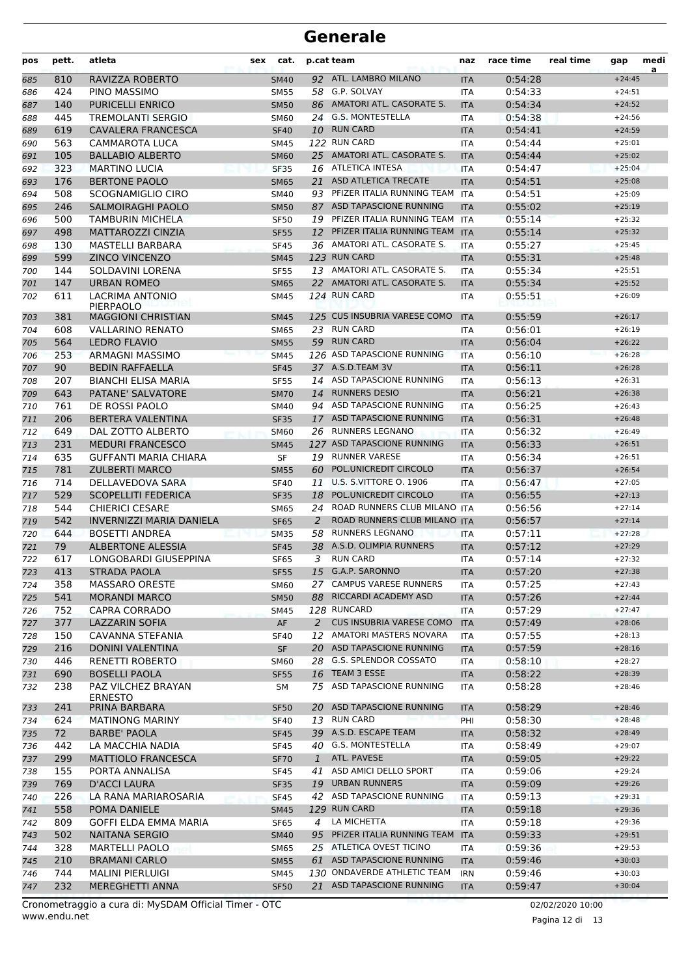| pos | pett. | atleta                               | sex | cat.        |              | p.cat team                        | naz        | race time | real time | gap      | medi<br>a |
|-----|-------|--------------------------------------|-----|-------------|--------------|-----------------------------------|------------|-----------|-----------|----------|-----------|
| 685 | 810   | RAVIZZA ROBERTO                      |     | <b>SM40</b> |              | 92 ATL. LAMBRO MILANO             | <b>ITA</b> | 0:54:28   |           | $+24:45$ |           |
| 686 | 424   | PINO MASSIMO                         |     | <b>SM55</b> |              | 58 G.P. SOLVAY                    | <b>ITA</b> | 0:54:33   |           | $+24:51$ |           |
| 687 | 140   | <b>PURICELLI ENRICO</b>              |     | <b>SM50</b> |              | 86 AMATORI ATL. CASORATE S.       | <b>ITA</b> | 0:54:34   |           | $+24:52$ |           |
| 688 | 445   | <b>TREMOLANTI SERGIO</b>             |     | <b>SM60</b> |              | 24 G.S. MONTESTELLA               | <b>ITA</b> | 0:54:38   |           | $+24:56$ |           |
| 689 | 619   | CAVALERA FRANCESCA                   |     | <b>SF40</b> |              | 10 RUN CARD                       | <b>ITA</b> | 0:54:41   |           | $+24:59$ |           |
| 690 | 563   | CAMMAROTA LUCA                       |     | SM45        |              | 122 RUN CARD                      | <b>ITA</b> | 0:54:44   |           | $+25:01$ |           |
| 691 | 105   | <b>BALLABIO ALBERTO</b>              |     | <b>SM60</b> |              | 25 AMATORI ATL. CASORATE S.       | <b>ITA</b> | 0:54:44   |           | $+25:02$ |           |
| 692 | 323   | <b>MARTINO LUCIA</b>                 |     | <b>SF35</b> |              | 16 ATLETICA INTESA                | <b>ITA</b> | 0:54:47   |           | $+25:04$ |           |
| 693 | 176   | <b>BERTONE PAOLO</b>                 |     | <b>SM65</b> |              | 21 ASD ATLETICA TRECATE           | <b>ITA</b> | 0:54:51   |           | $+25:08$ |           |
| 694 | 508   | SCOGNAMIGLIO CIRO                    |     | <b>SM40</b> |              | 93 PFIZER ITALIA RUNNING TEAM     | <b>ITA</b> | 0:54:51   |           | $+25:09$ |           |
| 695 | 246   | SALMOIRAGHI PAOLO                    |     | <b>SM50</b> |              | 87 ASD TAPASCIONE RUNNING         | <b>ITA</b> | 0:55:02   |           | $+25:19$ |           |
| 696 | 500   | TAMBURIN MICHELA                     |     | <b>SF50</b> |              | 19 PFIZER ITALIA RUNNING TEAM ITA |            | 0:55:14   |           | $+25:32$ |           |
| 697 | 498   | <b>MATTAROZZI CINZIA</b>             |     | <b>SF55</b> | 12           | PFIZER ITALIA RUNNING TEAM        | <b>ITA</b> | 0:55:14   |           | $+25:32$ |           |
| 698 | 130   | MASTELLI BARBARA                     |     | <b>SF45</b> |              | 36 AMATORI ATL. CASORATE S.       | <b>ITA</b> | 0:55:27   |           | $+25:45$ |           |
| 699 | 599   | <b>ZINCO VINCENZO</b>                |     | <b>SM45</b> |              | 123 RUN CARD                      | <b>ITA</b> | 0:55:31   |           | $+25:48$ |           |
| 700 | 144   | SOLDAVINI LORENA                     |     | <b>SF55</b> |              | 13 AMATORI ATL. CASORATE S.       | <b>ITA</b> | 0:55:34   |           | $+25:51$ |           |
| 701 | 147   | <b>URBAN ROMEO</b>                   |     | <b>SM65</b> |              | 22 AMATORI ATL. CASORATE S.       | <b>ITA</b> | 0:55:34   |           | $+25:52$ |           |
| 702 | 611   | <b>LACRIMA ANTONIO</b><br>PIERPAOLO  |     | SM45        |              | 124 RUN CARD                      | ITA        | 0:55:51   |           | $+26:09$ |           |
| 703 | 381   | <b>MAGGIONI CHRISTIAN</b>            |     | <b>SM45</b> |              | 125 CUS INSUBRIA VARESE COMO      | <b>ITA</b> | 0:55:59   |           | $+26:17$ |           |
| 704 | 608   | <b>VALLARINO RENATO</b>              |     | <b>SM65</b> |              | 23 RUN CARD                       | <b>ITA</b> | 0:56:01   |           | $+26:19$ |           |
| 705 | 564   | <b>LEDRO FLAVIO</b>                  |     | <b>SM55</b> |              | 59 RUN CARD                       | <b>ITA</b> | 0:56:04   |           | $+26:22$ |           |
| 706 | 253   | <b>ARMAGNI MASSIMO</b>               |     | <b>SM45</b> |              | 126 ASD TAPASCIONE RUNNING        | <b>ITA</b> | 0:56:10   |           | $+26:28$ |           |
| 707 | 90    | <b>BEDIN RAFFAELLA</b>               |     | <b>SF45</b> |              | 37 A.S.D.TEAM 3V                  | <b>ITA</b> | 0:56:11   |           | $+26:28$ |           |
| 708 | 207   | <b>BIANCHI ELISA MARIA</b>           |     | <b>SF55</b> |              | 14 ASD TAPASCIONE RUNNING         | <b>ITA</b> | 0:56:13   |           | $+26:31$ |           |
| 709 | 643   | PATANE' SALVATORE                    |     | <b>SM70</b> | 14           | <b>RUNNERS DESIO</b>              | <b>ITA</b> | 0:56:21   |           | $+26:38$ |           |
| 710 | 761   | DE ROSSI PAOLO                       |     | SM40        |              | 94 ASD TAPASCIONE RUNNING         | <b>ITA</b> | 0:56:25   |           | $+26:43$ |           |
| 711 | 206   | BERTERA VALENTINA                    |     | <b>SF35</b> |              | 17 ASD TAPASCIONE RUNNING         | <b>ITA</b> | 0:56:31   |           | $+26:48$ |           |
| 712 | 649   | DAL ZOTTO ALBERTO                    |     | <b>SM60</b> |              | 26 RUNNERS LEGNANO                | ITA        | 0:56:32   |           | $+26:49$ |           |
| 713 | 231   | <b>MEDURI FRANCESCO</b>              |     | <b>SM45</b> |              | 127 ASD TAPASCIONE RUNNING        | <b>ITA</b> | 0:56:33   |           | $+26:51$ |           |
| 714 | 635   | <b>GUFFANTI MARIA CHIARA</b>         |     | <b>SF</b>   |              | 19 RUNNER VARESE                  | <b>ITA</b> | 0:56:34   |           | $+26:51$ |           |
| 715 | 781   | <b>ZULBERTI MARCO</b>                |     | <b>SM55</b> | 60           | POL.UNICREDIT CIRCOLO             | <b>ITA</b> | 0:56:37   |           | $+26:54$ |           |
| 716 | 714   | DELLAVEDOVA SARA                     |     | <b>SF40</b> | 11           | U.S. S.VITTORE O. 1906            | <b>ITA</b> | 0:56:47   |           | $+27:05$ |           |
| 717 | 529   | <b>SCOPELLITI FEDERICA</b>           |     | <b>SF35</b> | 18           | POL.UNICREDIT CIRCOLO             | <b>ITA</b> | 0:56:55   |           | $+27:13$ |           |
| 718 | 544   | <b>CHIERICI CESARE</b>               |     | <b>SM65</b> | 24           | ROAD RUNNERS CLUB MILANO ITA      |            | 0:56:56   |           | $+27:14$ |           |
| 719 | 542   | INVERNIZZI MARIA DANIELA             |     | <b>SF65</b> | 2            | ROAD RUNNERS CLUB MILANO ITA      |            | 0:56:57   |           | $+27:14$ |           |
| 720 | 644   | <b>BOSETTI ANDREA</b>                |     | <b>SM35</b> | 58           | <b>RUNNERS LEGNANO</b>            | <b>ITA</b> | 0:57:11   |           | $+27:28$ |           |
| 721 | 79    | <b>ALBERTONE ALESSIA</b>             |     | <b>SF45</b> |              | 38 A.S.D. OLIMPIA RUNNERS         | <b>ITA</b> | 0:57:12   |           | $+27:29$ |           |
| 722 | 617   | LONGOBARDI GIUSEPPINA                |     | <b>SF65</b> |              | 3 RUN CARD                        | <b>ITA</b> | 0:57:14   |           | $+27:32$ |           |
| 723 | 413   | <b>STRADA PAOLA</b>                  |     | <b>SF55</b> |              | 15 G.A.P. SARONNO                 | <b>ITA</b> | 0:57:20   |           | $+27:38$ |           |
| 724 | 358   | <b>MASSARO ORESTE</b>                |     | <b>SM60</b> |              | 27 CAMPUS VARESE RUNNERS          | ITA        | 0:57:25   |           | $+27:43$ |           |
| 725 | 541   | <b>MORANDI MARCO</b>                 |     | <b>SM50</b> |              | 88 RICCARDI ACADEMY ASD           | <b>ITA</b> | 0:57:26   |           | $+27:44$ |           |
| 726 | 752   | CAPRA CORRADO                        |     | SM45        |              | 128 RUNCARD                       | ITA        | 0:57:29   |           | $+27:47$ |           |
| 727 | 377   | LAZZARIN SOFIA                       |     | AF          | 2            | <b>CUS INSUBRIA VARESE COMO</b>   | <b>ITA</b> | 0:57:49   |           | $+28:06$ |           |
| 728 | 150   | CAVANNA STEFANIA                     |     | <b>SF40</b> |              | 12 AMATORI MASTERS NOVARA         | <b>ITA</b> | 0:57:55   |           | $+28:13$ |           |
| 729 | 216   | DONINI VALENTINA                     |     | <b>SF</b>   |              | 20 ASD TAPASCIONE RUNNING         | <b>ITA</b> | 0:57:59   |           | $+28:16$ |           |
| 730 | 446   | RENETTI ROBERTO                      |     | <b>SM60</b> |              | 28 G.S. SPLENDOR COSSATO          | ITA        | 0:58:10   |           | $+28:27$ |           |
| 731 | 690   | <b>BOSELLI PAOLA</b>                 |     | <b>SF55</b> |              | 16 TEAM 3 ESSE                    | <b>ITA</b> | 0:58:22   |           | $+28:39$ |           |
| 732 | 238   | PAZ VILCHEZ BRAYAN<br><b>ERNESTO</b> |     | SM          |              | 75 ASD TAPASCIONE RUNNING         | ITA        | 0:58:28   |           | $+28:46$ |           |
| 733 | 241   | PRINA BARBARA                        |     | <b>SF50</b> |              | 20 ASD TAPASCIONE RUNNING         | <b>ITA</b> | 0:58:29   |           | $+28:46$ |           |
| 734 | 624   | <b>MATINONG MARINY</b>               |     | <b>SF40</b> |              | 13 RUN CARD                       | PHI        | 0:58:30   |           | $+28:48$ |           |
| 735 | 72    | BARBE' PAOLA                         |     | <b>SF45</b> |              | 39 A.S.D. ESCAPE TEAM             | <b>ITA</b> | 0:58:32   |           | $+28:49$ |           |
| 736 | 442   | LA MACCHIA NADIA                     |     | <b>SF45</b> |              | 40 G.S. MONTESTELLA               | ITA        | 0:58:49   |           | $+29:07$ |           |
| 737 | 299   | <b>MATTIOLO FRANCESCA</b>            |     | <b>SF70</b> | $\mathbf{1}$ | ATL. PAVESE                       | <b>ITA</b> | 0:59:05   |           | $+29:22$ |           |
| 738 | 155   | PORTA ANNALISA                       |     | <b>SF45</b> | 41           | ASD AMICI DELLO SPORT             | ITA        | 0:59:06   |           | $+29:24$ |           |
| 739 | 769   | <b>D'ACCI LAURA</b>                  |     | <b>SF35</b> |              | 19 URBAN RUNNERS                  | <b>ITA</b> | 0:59:09   |           | $+29:26$ |           |
| 740 | 226   | LA RANA MARIAROSARIA                 |     | <b>SF45</b> |              | 42 ASD TAPASCIONE RUNNING         | <b>ITA</b> | 0:59:13   |           | $+29:31$ |           |
| 741 | 558   | POMA DANIELE                         |     | <b>SM45</b> |              | 129 RUN CARD                      | <b>ITA</b> | 0:59:18   |           | $+29:36$ |           |
| 742 | 809   | GOFFI ELDA EMMA MARIA                |     | SF65        | 4            | LA MICHETTA                       | ITA        | 0:59:18   |           | $+29:36$ |           |
| 743 | 502   | <b>NAITANA SERGIO</b>                |     | <b>SM40</b> |              | 95 PFIZER ITALIA RUNNING TEAM     | <b>ITA</b> | 0:59:33   |           | $+29:51$ |           |
| 744 | 328   | <b>MARTELLI PAOLO</b>                |     | <b>SM65</b> |              | 25 ATLETICA OVEST TICINO          | ITA        | 0:59:36   |           | $+29:53$ |           |
| 745 | 210   | <b>BRAMANI CARLO</b>                 |     | <b>SM55</b> |              | 61 ASD TAPASCIONE RUNNING         | <b>ITA</b> | 0:59:46   |           | $+30:03$ |           |
| 746 | 744   | <b>MALINI PIERLUIGI</b>              |     | SM45        |              | 130 ONDAVERDE ATHLETIC TEAM       | <b>IRN</b> | 0:59:46   |           | $+30:03$ |           |
| 747 | 232   | MEREGHETTI ANNA                      |     | <b>SF50</b> |              | 21 ASD TAPASCIONE RUNNING         | <b>ITA</b> | 0:59:47   |           | $+30:04$ |           |

Pagina 12 di 13